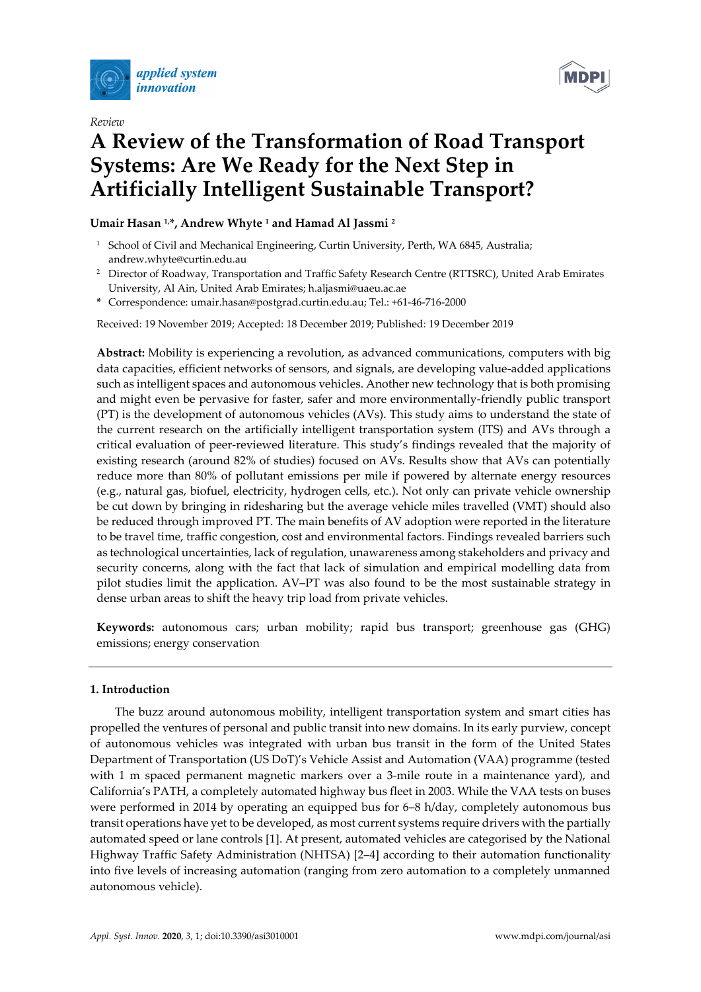

*Review*



# **A Review of the Transformation of Road Transport Systems: Are We Ready for the Next Step in Artificially Intelligent Sustainable Transport?**

## **Umair Hasan 1, \*, Andrew Whyte <sup>1</sup> and Hamad Al Jassmi <sup>2</sup>**

- <sup>1</sup> School of Civil and Mechanical Engineering, Curtin University, Perth, WA 6845, Australia; andrew.whyte@curtin.edu.au
- <sup>2</sup> Director of Roadway, Transportation and Traffic Safety Research Centre (RTTSRC), United Arab Emirates University, Al Ain, United Arab Emirates; h.aljasmi@uaeu.ac.ae
- **\*** Correspondence: umair.hasan@postgrad.curtin.edu.au; Tel.: +61-46-716-2000

Received: 19 November 2019; Accepted: 18 December 2019; Published: 19 December 2019

**Abstract:** Mobility is experiencing a revolution, as advanced communications, computers with big data capacities, efficient networks of sensors, and signals, are developing value-added applications such as intelligent spaces and autonomous vehicles. Another new technology that is both promising and might even be pervasive for faster, safer and more environmentally-friendly public transport (PT) is the development of autonomous vehicles (AVs). This study aims to understand the state of the current research on the artificially intelligent transportation system (ITS) and AVs through a critical evaluation of peer-reviewed literature. This study's findings revealed that the majority of existing research (around 82% of studies) focused on AVs. Results show that AVs can potentially reduce more than 80% of pollutant emissions per mile if powered by alternate energy resources (e.g., natural gas, biofuel, electricity, hydrogen cells, etc.). Not only can private vehicle ownership be cut down by bringing in ridesharing but the average vehicle miles travelled (VMT) should also be reduced through improved PT. The main benefits of AV adoption were reported in the literature to be travel time, traffic congestion, cost and environmental factors. Findings revealed barriers such as technological uncertainties, lack of regulation, unawareness among stakeholders and privacy and security concerns, along with the fact that lack of simulation and empirical modelling data from pilot studies limit the application. AV–PT was also found to be the most sustainable strategy in dense urban areas to shift the heavy trip load from private vehicles.

**Keywords:** autonomous cars; urban mobility; rapid bus transport; greenhouse gas (GHG) emissions; energy conservation

## **1. Introduction**

The buzz around autonomous mobility, intelligent transportation system and smart cities has propelled the ventures of personal and public transit into new domains. In its early purview, concept of autonomous vehicles was integrated with urban bus transit in the form of the United States Department of Transportation (US DoT)'s Vehicle Assist and Automation (VAA) programme (tested with 1 m spaced permanent magnetic markers over a 3-mile route in a maintenance yard), and California's PATH, a completely automated highway bus fleet in 2003. While the VAA tests on buses were performed in 2014 by operating an equipped bus for 6–8 h/day, completely autonomous bus transit operations have yet to be developed, as most current systems require drivers with the partially automated speed or lane controls [1]. At present, automated vehicles are categorised by the National Highway Traffic Safety Administration (NHTSA) [2–4] according to their automation functionality into five levels of increasing automation (ranging from zero automation to a completely unmanned autonomous vehicle).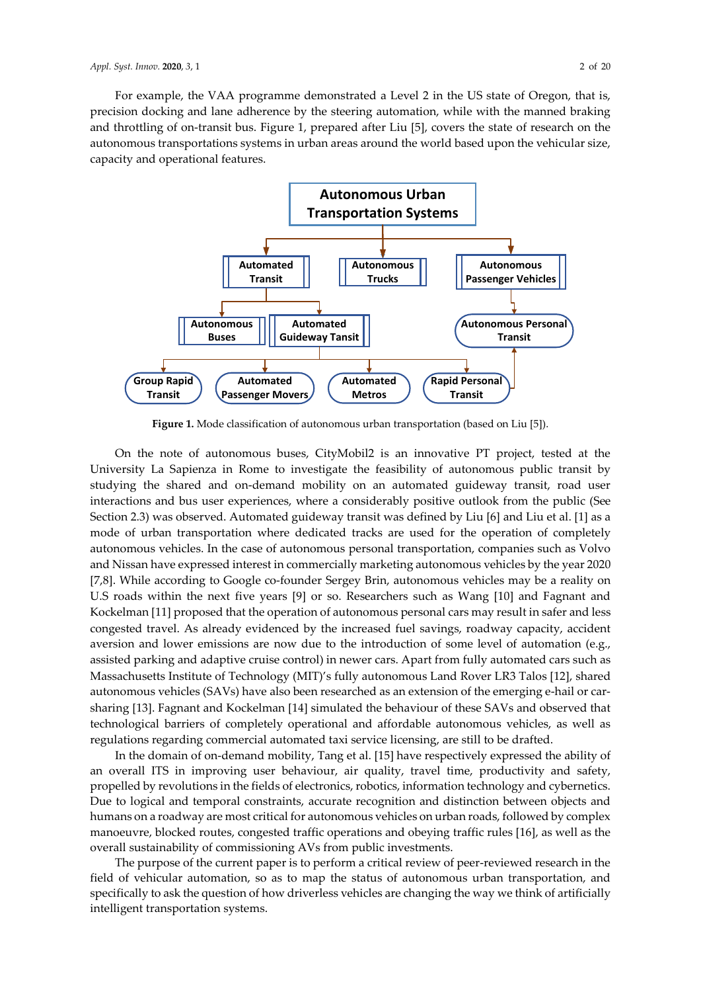For example, the VAA programme demonstrated a Level 2 in the US state of Oregon, that is, precision docking and lane adherence by the steering automation, while with the manned braking and throttling of on-transit bus. Figure 1, prepared after Liu [5], covers the state of research on the autonomous transportations systems in urban areas around the world based upon the vehicular size, capacity and operational features.



**Figure 1.** Mode classification of autonomous urban transportation (based on Liu [5]).

On the note of autonomous buses, CityMobil2 is an innovative PT project, tested at the University La Sapienza in Rome to investigate the feasibility of autonomous public transit by studying the shared and on-demand mobility on an automated guideway transit, road user interactions and bus user experiences, where a considerably positive outlook from the public (See Section 2.3) was observed. Automated guideway transit was defined by Liu [6] and Liu et al. [1] as a mode of urban transportation where dedicated tracks are used for the operation of completely autonomous vehicles. In the case of autonomous personal transportation, companies such as Volvo and Nissan have expressed interest in commercially marketing autonomous vehicles by the year 2020 [7,8]. While according to Google co-founder Sergey Brin, autonomous vehicles may be a reality on U.S roads within the next five years [9] or so. Researchers such as Wang [10] and Fagnant and Kockelman [11] proposed that the operation of autonomous personal cars may result in safer and less congested travel. As already evidenced by the increased fuel savings, roadway capacity, accident aversion and lower emissions are now due to the introduction of some level of automation (e.g., assisted parking and adaptive cruise control) in newer cars. Apart from fully automated cars such as Massachusetts Institute of Technology (MIT)'s fully autonomous Land Rover LR3 Talos [12], shared autonomous vehicles (SAVs) have also been researched as an extension of the emerging e-hail or carsharing [13]. Fagnant and Kockelman [14] simulated the behaviour of these SAVs and observed that technological barriers of completely operational and affordable autonomous vehicles, as well as regulations regarding commercial automated taxi service licensing, are still to be drafted.

In the domain of on-demand mobility, Tang et al. [15] have respectively expressed the ability of an overall ITS in improving user behaviour, air quality, travel time, productivity and safety, propelled by revolutions in the fields of electronics, robotics, information technology and cybernetics. Due to logical and temporal constraints, accurate recognition and distinction between objects and humans on a roadway are most critical for autonomous vehicles on urban roads, followed by complex manoeuvre, blocked routes, congested traffic operations and obeying traffic rules [16], as well as the overall sustainability of commissioning AVs from public investments.

The purpose of the current paper is to perform a critical review of peer-reviewed research in the field of vehicular automation, so as to map the status of autonomous urban transportation, and specifically to ask the question of how driverless vehicles are changing the way we think of artificially intelligent transportation systems.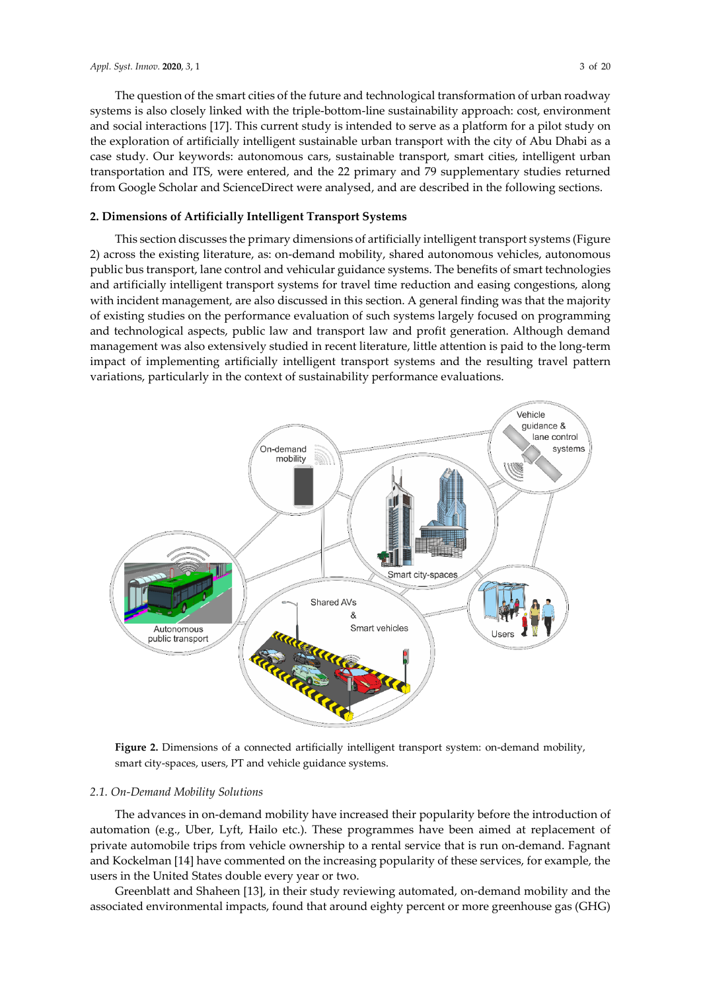The question of the smart cities of the future and technological transformation of urban roadway systems is also closely linked with the triple-bottom-line sustainability approach: cost, environment and social interactions [17]. This current study is intended to serve as a platform for a pilot study on the exploration of artificially intelligent sustainable urban transport with the city of Abu Dhabi as a case study. Our keywords: autonomous cars, sustainable transport, smart cities, intelligent urban transportation and ITS, were entered, and the 22 primary and 79 supplementary studies returned from Google Scholar and ScienceDirect were analysed, and are described in the following sections.

#### **2. Dimensions of Artificially Intelligent Transport Systems**

This section discusses the primary dimensions of artificially intelligent transport systems (Figure 2) across the existing literature, as: on-demand mobility, shared autonomous vehicles, autonomous public bus transport, lane control and vehicular guidance systems. The benefits of smart technologies and artificially intelligent transport systems for travel time reduction and easing congestions, along with incident management, are also discussed in this section. A general finding was that the majority of existing studies on the performance evaluation of such systems largely focused on programming and technological aspects, public law and transport law and profit generation. Although demand management was also extensively studied in recent literature, little attention is paid to the long-term impact of implementing artificially intelligent transport systems and the resulting travel pattern variations, particularly in the context of sustainability performance evaluations.



**Figure 2.** Dimensions of a connected artificially intelligent transport system: on-demand mobility, smart city-spaces, users, PT and vehicle guidance systems.

#### *2.1. On-Demand Mobility Solutions*

The advances in on-demand mobility have increased their popularity before the introduction of automation (e.g., Uber, Lyft, Hailo etc.). These programmes have been aimed at replacement of private automobile trips from vehicle ownership to a rental service that is run on-demand. Fagnant and Kockelman [14] have commented on the increasing popularity of these services, for example, the users in the United States double every year or two.

Greenblatt and Shaheen [13], in their study reviewing automated, on-demand mobility and the associated environmental impacts, found that around eighty percent or more greenhouse gas (GHG)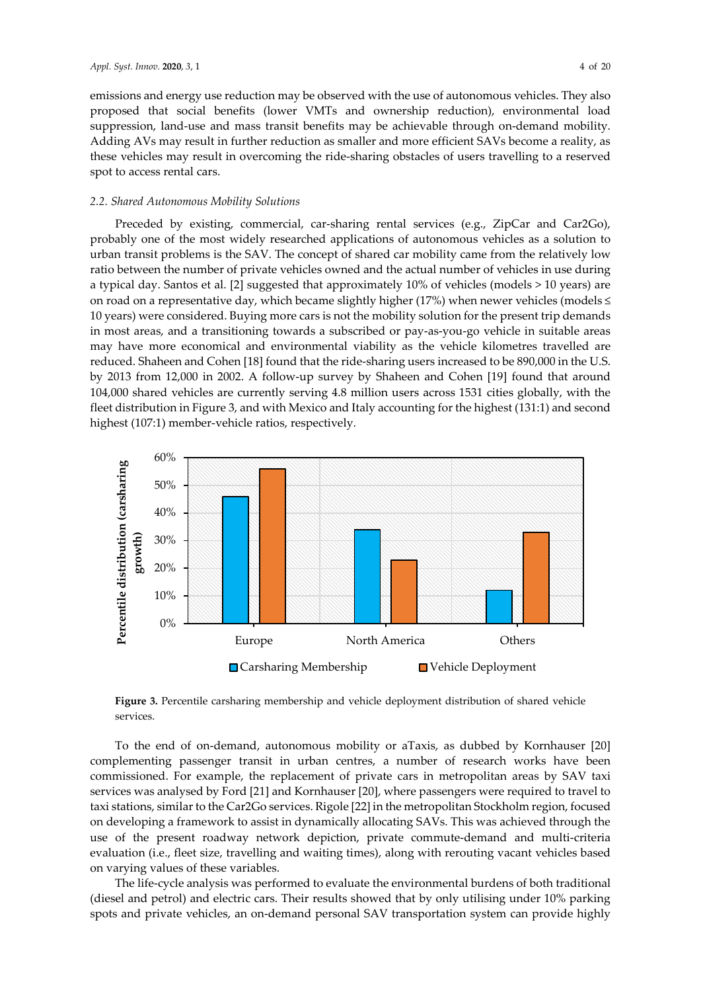emissions and energy use reduction may be observed with the use of autonomous vehicles. They also proposed that social benefits (lower VMTs and ownership reduction), environmental load suppression, land-use and mass transit benefits may be achievable through on-demand mobility. Adding AVs may result in further reduction as smaller and more efficient SAVs become a reality, as these vehicles may result in overcoming the ride-sharing obstacles of users travelling to a reserved spot to access rental cars.

## *2.2. Shared Autonomous Mobility Solutions*

Preceded by existing, commercial, car-sharing rental services (e.g., ZipCar and Car2Go), probably one of the most widely researched applications of autonomous vehicles as a solution to urban transit problems is the SAV. The concept of shared car mobility came from the relatively low ratio between the number of private vehicles owned and the actual number of vehicles in use during a typical day. Santos et al. [2] suggested that approximately 10% of vehicles (models > 10 years) are on road on a representative day, which became slightly higher (17%) when newer vehicles (models  $\leq$ 10 years) were considered. Buying more cars is not the mobility solution for the present trip demands in most areas, and a transitioning towards a subscribed or pay-as-you-go vehicle in suitable areas may have more economical and environmental viability as the vehicle kilometres travelled are reduced. Shaheen and Cohen [18] found that the ride-sharing users increased to be 890,000 in the U.S. by 2013 from 12,000 in 2002. A follow-up survey by Shaheen and Cohen [19] found that around 104,000 shared vehicles are currently serving 4.8 million users across 1531 cities globally, with the fleet distribution in Figure 3, and with Mexico and Italy accounting for the highest (131:1) and second highest (107:1) member-vehicle ratios, respectively.



**Figure 3.** Percentile carsharing membership and vehicle deployment distribution of shared vehicle services.

To the end of on-demand, autonomous mobility or aTaxis, as dubbed by Kornhauser [20] complementing passenger transit in urban centres, a number of research works have been commissioned. For example, the replacement of private cars in metropolitan areas by SAV taxi services was analysed by Ford [21] and Kornhauser [20], where passengers were required to travel to taxi stations, similar to the Car2Go services. Rigole [22] in the metropolitan Stockholm region, focused on developing a framework to assist in dynamically allocating SAVs. This was achieved through the use of the present roadway network depiction, private commute-demand and multi-criteria evaluation (i.e., fleet size, travelling and waiting times), along with rerouting vacant vehicles based on varying values of these variables.

The life-cycle analysis was performed to evaluate the environmental burdens of both traditional (diesel and petrol) and electric cars. Their results showed that by only utilising under 10% parking spots and private vehicles, an on-demand personal SAV transportation system can provide highly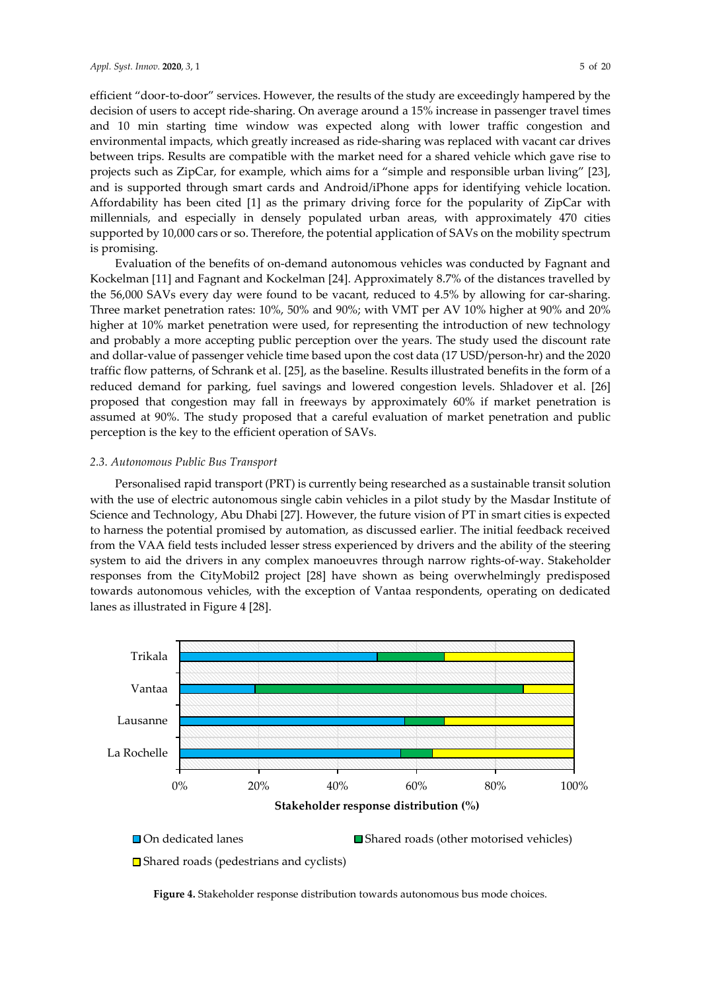efficient "door-to-door" services. However, the results of the study are exceedingly hampered by the decision of users to accept ride-sharing. On average around a 15% increase in passenger travel times and 10 min starting time window was expected along with lower traffic congestion and environmental impacts, which greatly increased as ride-sharing was replaced with vacant car drives between trips. Results are compatible with the market need for a shared vehicle which gave rise to projects such as ZipCar, for example, which aims for a "simple and responsible urban living" [23], and is supported through smart cards and Android/iPhone apps for identifying vehicle location. Affordability has been cited [1] as the primary driving force for the popularity of ZipCar with millennials, and especially in densely populated urban areas, with approximately 470 cities supported by 10,000 cars or so. Therefore, the potential application of SAVs on the mobility spectrum is promising.

Evaluation of the benefits of on-demand autonomous vehicles was conducted by Fagnant and Kockelman [11] and Fagnant and Kockelman [24]. Approximately 8.7% of the distances travelled by the 56,000 SAVs every day were found to be vacant, reduced to 4.5% by allowing for car-sharing. Three market penetration rates: 10%, 50% and 90%; with VMT per AV 10% higher at 90% and 20% higher at 10% market penetration were used, for representing the introduction of new technology and probably a more accepting public perception over the years. The study used the discount rate and dollar-value of passenger vehicle time based upon the cost data (17 USD/person-hr) and the 2020 traffic flow patterns, of Schrank et al. [25], as the baseline. Results illustrated benefits in the form of a reduced demand for parking, fuel savings and lowered congestion levels. Shladover et al. [26] proposed that congestion may fall in freeways by approximately 60% if market penetration is assumed at 90%. The study proposed that a careful evaluation of market penetration and public perception is the key to the efficient operation of SAVs.

#### *2.3. Autonomous Public Bus Transport*

Personalised rapid transport (PRT) is currently being researched as a sustainable transit solution with the use of electric autonomous single cabin vehicles in a pilot study by the Masdar Institute of Science and Technology, Abu Dhabi [27]. However, the future vision of PT in smart cities is expected to harness the potential promised by automation, as discussed earlier. The initial feedback received from the VAA field tests included lesser stress experienced by drivers and the ability of the steering system to aid the drivers in any complex manoeuvres through narrow rights-of-way. Stakeholder responses from the CityMobil2 project [28] have shown as being overwhelmingly predisposed towards autonomous vehicles, with the exception of Vantaa respondents, operating on dedicated lanes as illustrated in Figure 4 [28].



**On dedicated lanes** Shared roads (other motorised vehicles) **□** Shared roads (pedestrians and cyclists)

**Figure 4.** Stakeholder response distribution towards autonomous bus mode choices.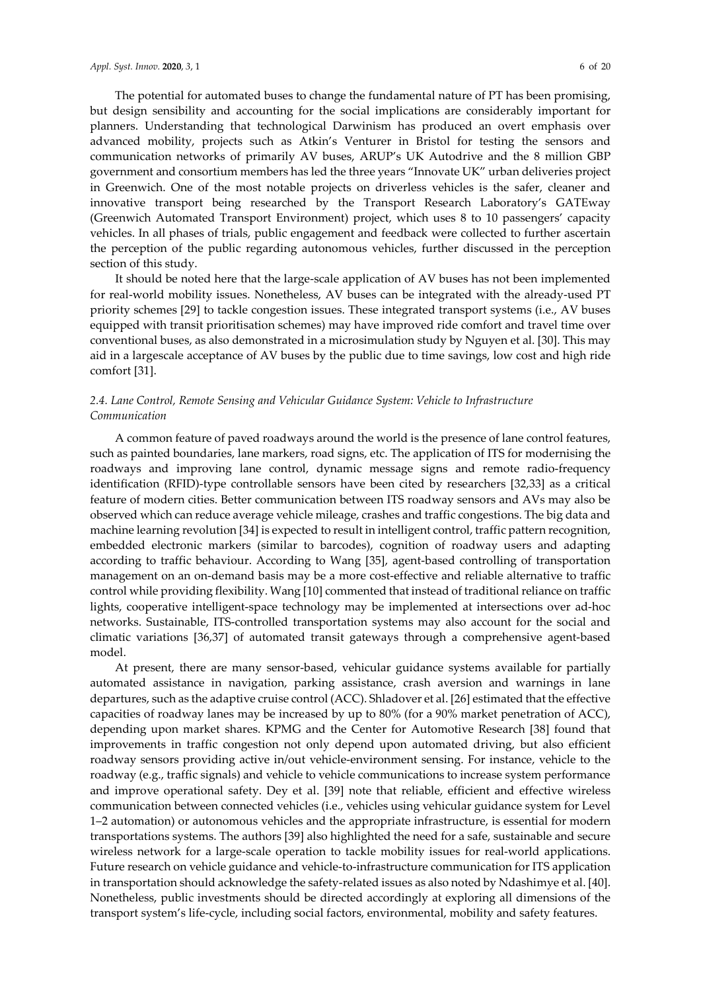The potential for automated buses to change the fundamental nature of PT has been promising, but design sensibility and accounting for the social implications are considerably important for planners. Understanding that technological Darwinism has produced an overt emphasis over advanced mobility, projects such as Atkin's Venturer in Bristol for testing the sensors and communication networks of primarily AV buses, ARUP's UK Autodrive and the 8 million GBP government and consortium members has led the three years "Innovate UK" urban deliveries project in Greenwich. One of the most notable projects on driverless vehicles is the safer, cleaner and innovative transport being researched by the Transport Research Laboratory's GATEway (Greenwich Automated Transport Environment) project, which uses 8 to 10 passengers' capacity vehicles. In all phases of trials, public engagement and feedback were collected to further ascertain the perception of the public regarding autonomous vehicles, further discussed in the perception section of this study.

It should be noted here that the large-scale application of AV buses has not been implemented for real-world mobility issues. Nonetheless, AV buses can be integrated with the already-used PT priority schemes [29] to tackle congestion issues. These integrated transport systems (i.e., AV buses equipped with transit prioritisation schemes) may have improved ride comfort and travel time over conventional buses, as also demonstrated in a microsimulation study by Nguyen et al. [30]. This may aid in a largescale acceptance of AV buses by the public due to time savings, low cost and high ride comfort [31].

## *2.4. Lane Control, Remote Sensing and Vehicular Guidance System: Vehicle to Infrastructure Communication*

A common feature of paved roadways around the world is the presence of lane control features, such as painted boundaries, lane markers, road signs, etc. The application of ITS for modernising the roadways and improving lane control, dynamic message signs and remote radio-frequency identification (RFID)-type controllable sensors have been cited by researchers [32,33] as a critical feature of modern cities. Better communication between ITS roadway sensors and AVs may also be observed which can reduce average vehicle mileage, crashes and traffic congestions. The big data and machine learning revolution [34] is expected to result in intelligent control, traffic pattern recognition, embedded electronic markers (similar to barcodes), cognition of roadway users and adapting according to traffic behaviour. According to Wang [35], agent-based controlling of transportation management on an on-demand basis may be a more cost-effective and reliable alternative to traffic control while providing flexibility. Wang [10] commented that instead of traditional reliance on traffic lights, cooperative intelligent-space technology may be implemented at intersections over ad-hoc networks. Sustainable, ITS-controlled transportation systems may also account for the social and climatic variations [36,37] of automated transit gateways through a comprehensive agent-based model.

At present, there are many sensor-based, vehicular guidance systems available for partially automated assistance in navigation, parking assistance, crash aversion and warnings in lane departures, such as the adaptive cruise control (ACC). Shladover et al. [26] estimated that the effective capacities of roadway lanes may be increased by up to 80% (for a 90% market penetration of ACC), depending upon market shares. KPMG and the Center for Automotive Research [38] found that improvements in traffic congestion not only depend upon automated driving, but also efficient roadway sensors providing active in/out vehicle-environment sensing. For instance, vehicle to the roadway (e.g., traffic signals) and vehicle to vehicle communications to increase system performance and improve operational safety. Dey et al. [39] note that reliable, efficient and effective wireless communication between connected vehicles (i.e., vehicles using vehicular guidance system for Level 1–2 automation) or autonomous vehicles and the appropriate infrastructure, is essential for modern transportations systems. The authors [39] also highlighted the need for a safe, sustainable and secure wireless network for a large-scale operation to tackle mobility issues for real-world applications. Future research on vehicle guidance and vehicle-to-infrastructure communication for ITS application in transportation should acknowledge the safety-related issues as also noted by Ndashimye et al. [40]. Nonetheless, public investments should be directed accordingly at exploring all dimensions of the transport system's life-cycle, including social factors, environmental, mobility and safety features.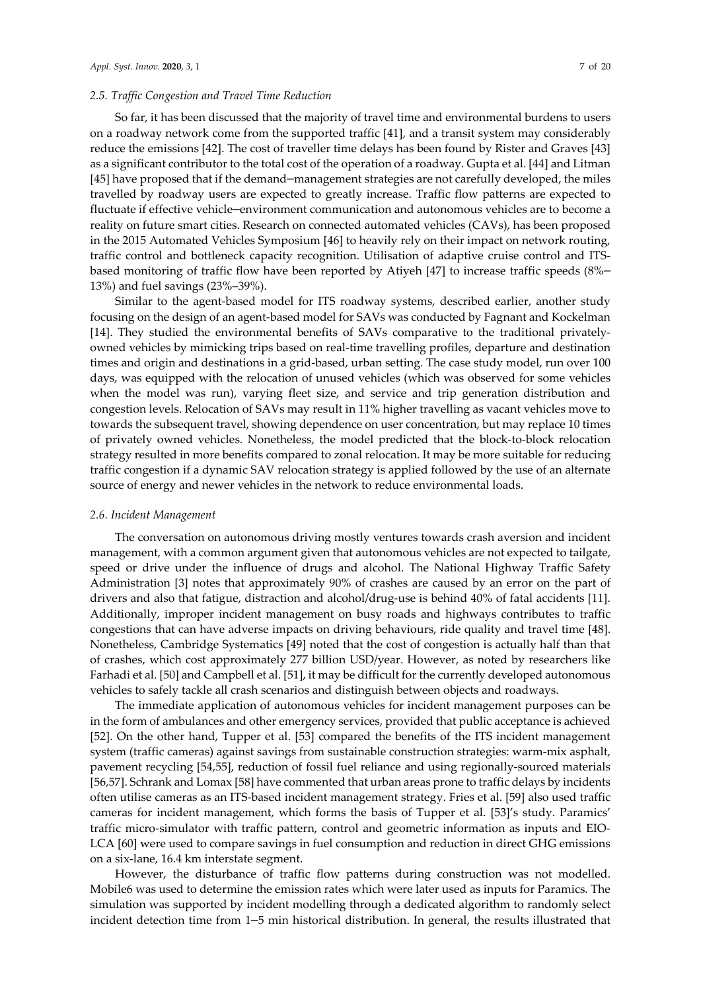#### *2.5. Traffic Congestion and Travel Time Reduction*

So far, it has been discussed that the majority of travel time and environmental burdens to users on a roadway network come from the supported traffic [41], and a transit system may considerably reduce the emissions [42]. The cost of traveller time delays has been found by Rister and Graves [43] as a significant contributor to the total cost of the operation of a roadway. Gupta et al. [44] and Litman [45] have proposed that if the demand–management strategies are not carefully developed, the miles travelled by roadway users are expected to greatly increase. Traffic flow patterns are expected to fluctuate if effective vehicle–environment communication and autonomous vehicles are to become a reality on future smart cities. Research on connected automated vehicles (CAVs), has been proposed in the 2015 Automated Vehicles Symposium [46] to heavily rely on their impact on network routing, traffic control and bottleneck capacity recognition. Utilisation of adaptive cruise control and ITSbased monitoring of traffic flow have been reported by Atiyeh [47] to increase traffic speeds (8%– 13%) and fuel savings (23%–39%).

Similar to the agent-based model for ITS roadway systems, described earlier, another study focusing on the design of an agent-based model for SAVs was conducted by Fagnant and Kockelman [14]. They studied the environmental benefits of SAVs comparative to the traditional privatelyowned vehicles by mimicking trips based on real-time travelling profiles, departure and destination times and origin and destinations in a grid-based, urban setting. The case study model, run over 100 days, was equipped with the relocation of unused vehicles (which was observed for some vehicles when the model was run), varying fleet size, and service and trip generation distribution and congestion levels. Relocation of SAVs may result in 11% higher travelling as vacant vehicles move to towards the subsequent travel, showing dependence on user concentration, but may replace 10 times of privately owned vehicles. Nonetheless, the model predicted that the block-to-block relocation strategy resulted in more benefits compared to zonal relocation. It may be more suitable for reducing traffic congestion if a dynamic SAV relocation strategy is applied followed by the use of an alternate source of energy and newer vehicles in the network to reduce environmental loads.

#### *2.6. Incident Management*

The conversation on autonomous driving mostly ventures towards crash aversion and incident management, with a common argument given that autonomous vehicles are not expected to tailgate, speed or drive under the influence of drugs and alcohol. The National Highway Traffic Safety Administration [3] notes that approximately 90% of crashes are caused by an error on the part of drivers and also that fatigue, distraction and alcohol/drug-use is behind 40% of fatal accidents [11]. Additionally, improper incident management on busy roads and highways contributes to traffic congestions that can have adverse impacts on driving behaviours, ride quality and travel time [48]. Nonetheless, Cambridge Systematics [49] noted that the cost of congestion is actually half than that of crashes, which cost approximately 277 billion USD/year. However, as noted by researchers like Farhadi et al. [50] and Campbell et al. [51], it may be difficult for the currently developed autonomous vehicles to safely tackle all crash scenarios and distinguish between objects and roadways.

The immediate application of autonomous vehicles for incident management purposes can be in the form of ambulances and other emergency services, provided that public acceptance is achieved [52]. On the other hand, Tupper et al. [53] compared the benefits of the ITS incident management system (traffic cameras) against savings from sustainable construction strategies: warm-mix asphalt, pavement recycling [54,55], reduction of fossil fuel reliance and using regionally-sourced materials [56,57]. Schrank and Lomax [58] have commented that urban areas prone to traffic delays by incidents often utilise cameras as an ITS-based incident management strategy. Fries et al. [59] also used traffic cameras for incident management, which forms the basis of Tupper et al. [53]'s study. Paramics' traffic micro-simulator with traffic pattern, control and geometric information as inputs and EIO-LCA [60] were used to compare savings in fuel consumption and reduction in direct GHG emissions on a six-lane, 16.4 km interstate segment.

However, the disturbance of traffic flow patterns during construction was not modelled. Mobile6 was used to determine the emission rates which were later used as inputs for Paramics. The simulation was supported by incident modelling through a dedicated algorithm to randomly select incident detection time from 1–5 min historical distribution. In general, the results illustrated that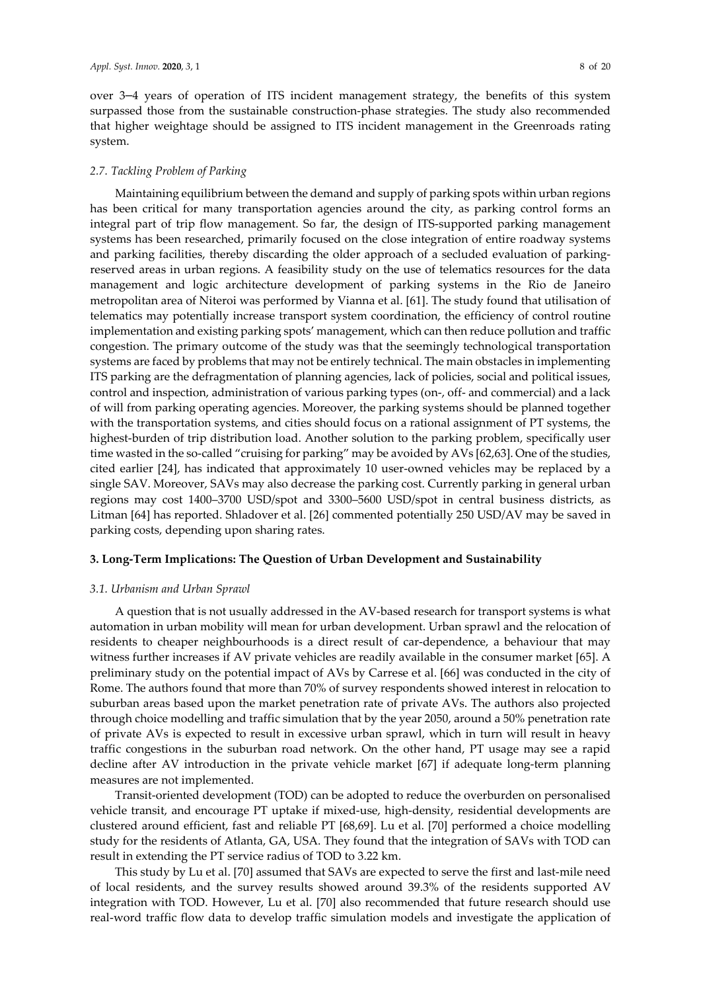over 3–4 years of operation of ITS incident management strategy, the benefits of this system surpassed those from the sustainable construction-phase strategies. The study also recommended that higher weightage should be assigned to ITS incident management in the Greenroads rating system.

#### *2.7. Tackling Problem of Parking*

Maintaining equilibrium between the demand and supply of parking spots within urban regions has been critical for many transportation agencies around the city, as parking control forms an integral part of trip flow management. So far, the design of ITS-supported parking management systems has been researched, primarily focused on the close integration of entire roadway systems and parking facilities, thereby discarding the older approach of a secluded evaluation of parkingreserved areas in urban regions. A feasibility study on the use of telematics resources for the data management and logic architecture development of parking systems in the Rio de Janeiro metropolitan area of Niteroi was performed by Vianna et al. [61]. The study found that utilisation of telematics may potentially increase transport system coordination, the efficiency of control routine implementation and existing parking spots' management, which can then reduce pollution and traffic congestion. The primary outcome of the study was that the seemingly technological transportation systems are faced by problems that may not be entirely technical. The main obstacles in implementing ITS parking are the defragmentation of planning agencies, lack of policies, social and political issues, control and inspection, administration of various parking types (on-, off- and commercial) and a lack of will from parking operating agencies. Moreover, the parking systems should be planned together with the transportation systems, and cities should focus on a rational assignment of PT systems, the highest-burden of trip distribution load. Another solution to the parking problem, specifically user time wasted in the so-called "cruising for parking" may be avoided by AVs [62,63]. One of the studies, cited earlier [24], has indicated that approximately 10 user-owned vehicles may be replaced by a single SAV. Moreover, SAVs may also decrease the parking cost. Currently parking in general urban regions may cost 1400–3700 USD/spot and 3300–5600 USD/spot in central business districts, as Litman [64] has reported. Shladover et al. [26] commented potentially 250 USD/AV may be saved in parking costs, depending upon sharing rates.

#### **3. Long-Term Implications: The Question of Urban Development and Sustainability**

#### *3.1. Urbanism and Urban Sprawl*

A question that is not usually addressed in the AV-based research for transport systems is what automation in urban mobility will mean for urban development. Urban sprawl and the relocation of residents to cheaper neighbourhoods is a direct result of car-dependence, a behaviour that may witness further increases if AV private vehicles are readily available in the consumer market [65]. A preliminary study on the potential impact of AVs by Carrese et al. [66] was conducted in the city of Rome. The authors found that more than 70% of survey respondents showed interest in relocation to suburban areas based upon the market penetration rate of private AVs. The authors also projected through choice modelling and traffic simulation that by the year 2050, around a 50% penetration rate of private AVs is expected to result in excessive urban sprawl, which in turn will result in heavy traffic congestions in the suburban road network. On the other hand, PT usage may see a rapid decline after AV introduction in the private vehicle market [67] if adequate long-term planning measures are not implemented.

Transit-oriented development (TOD) can be adopted to reduce the overburden on personalised vehicle transit, and encourage PT uptake if mixed-use, high-density, residential developments are clustered around efficient, fast and reliable PT [68,69]. Lu et al. [70] performed a choice modelling study for the residents of Atlanta, GA, USA. They found that the integration of SAVs with TOD can result in extending the PT service radius of TOD to 3.22 km.

This study by Lu et al. [70] assumed that SAVs are expected to serve the first and last-mile need of local residents, and the survey results showed around 39.3% of the residents supported AV integration with TOD. However, Lu et al. [70] also recommended that future research should use real-word traffic flow data to develop traffic simulation models and investigate the application of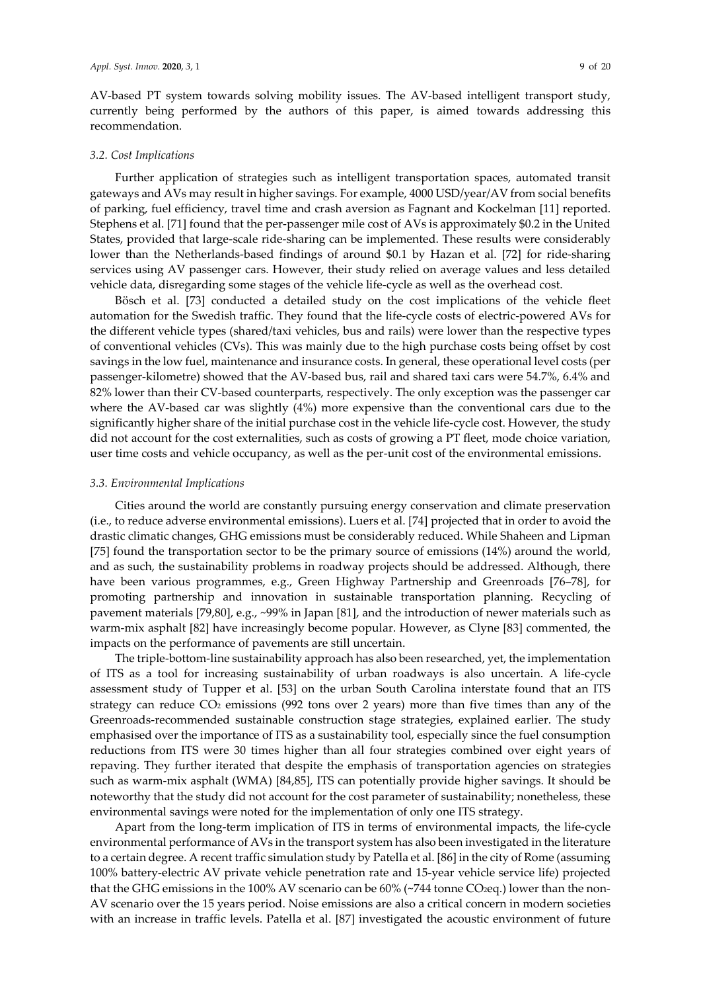AV-based PT system towards solving mobility issues. The AV-based intelligent transport study, currently being performed by the authors of this paper, is aimed towards addressing this recommendation.

#### *3.2. Cost Implications*

Further application of strategies such as intelligent transportation spaces, automated transit gateways and AVs may result in higher savings. For example, 4000 USD/year/AV from social benefits of parking, fuel efficiency, travel time and crash aversion as Fagnant and Kockelman [11] reported. Stephens et al. [71] found that the per-passenger mile cost of AVs is approximately \$0.2 in the United States, provided that large-scale ride-sharing can be implemented. These results were considerably lower than the Netherlands-based findings of around \$0.1 by Hazan et al. [72] for ride-sharing services using AV passenger cars. However, their study relied on average values and less detailed vehicle data, disregarding some stages of the vehicle life-cycle as well as the overhead cost.

Bösch et al. [73] conducted a detailed study on the cost implications of the vehicle fleet automation for the Swedish traffic. They found that the life-cycle costs of electric-powered AVs for the different vehicle types (shared/taxi vehicles, bus and rails) were lower than the respective types of conventional vehicles (CVs). This was mainly due to the high purchase costs being offset by cost savings in the low fuel, maintenance and insurance costs. In general, these operational level costs (per passenger-kilometre) showed that the AV-based bus, rail and shared taxi cars were 54.7%, 6.4% and 82% lower than their CV-based counterparts, respectively. The only exception was the passenger car where the AV-based car was slightly (4%) more expensive than the conventional cars due to the significantly higher share of the initial purchase cost in the vehicle life-cycle cost. However, the study did not account for the cost externalities, such as costs of growing a PT fleet, mode choice variation, user time costs and vehicle occupancy, as well as the per-unit cost of the environmental emissions.

#### *3.3. Environmental Implications*

Cities around the world are constantly pursuing energy conservation and climate preservation (i.e., to reduce adverse environmental emissions). Luers et al. [74] projected that in order to avoid the drastic climatic changes, GHG emissions must be considerably reduced. While Shaheen and Lipman [75] found the transportation sector to be the primary source of emissions (14%) around the world, and as such, the sustainability problems in roadway projects should be addressed. Although, there have been various programmes, e.g., Green Highway Partnership and Greenroads [76–78], for promoting partnership and innovation in sustainable transportation planning. Recycling of pavement materials [79,80], e.g., ~99% in Japan [81], and the introduction of newer materials such as warm-mix asphalt [82] have increasingly become popular. However, as Clyne [83] commented, the impacts on the performance of pavements are still uncertain.

The triple-bottom-line sustainability approach has also been researched, yet, the implementation of ITS as a tool for increasing sustainability of urban roadways is also uncertain. A life-cycle assessment study of Tupper et al. [53] on the urban South Carolina interstate found that an ITS strategy can reduce CO<sub>2</sub> emissions (992 tons over 2 years) more than five times than any of the Greenroads-recommended sustainable construction stage strategies, explained earlier. The study emphasised over the importance of ITS as a sustainability tool, especially since the fuel consumption reductions from ITS were 30 times higher than all four strategies combined over eight years of repaving. They further iterated that despite the emphasis of transportation agencies on strategies such as warm-mix asphalt (WMA) [84,85], ITS can potentially provide higher savings. It should be noteworthy that the study did not account for the cost parameter of sustainability; nonetheless, these environmental savings were noted for the implementation of only one ITS strategy.

Apart from the long-term implication of ITS in terms of environmental impacts, the life-cycle environmental performance of AVs in the transport system has also been investigated in the literature to a certain degree. A recent traffic simulation study by Patella et al. [86] in the city of Rome (assuming 100% battery-electric AV private vehicle penetration rate and 15-year vehicle service life) projected that the GHG emissions in the 100% AV scenario can be  $60\%$  ( $\sim$ 744 tonne CO<sub>2</sub>eq.) lower than the non-AV scenario over the 15 years period. Noise emissions are also a critical concern in modern societies with an increase in traffic levels. Patella et al. [87] investigated the acoustic environment of future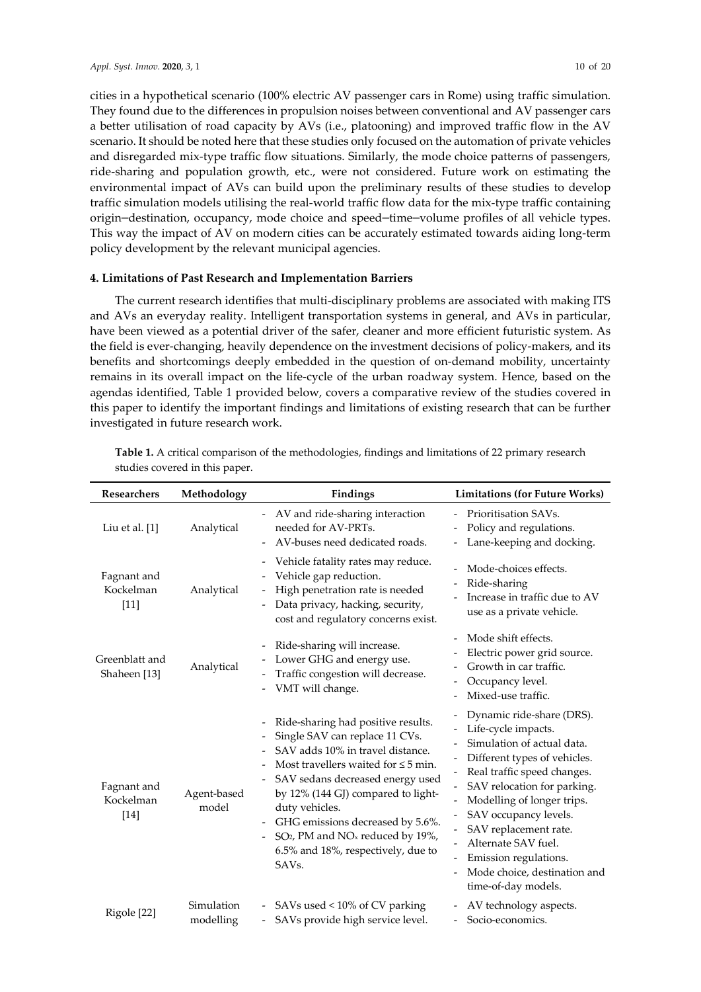cities in a hypothetical scenario (100% electric AV passenger cars in Rome) using traffic simulation. They found due to the differences in propulsion noises between conventional and AV passenger cars a better utilisation of road capacity by AVs (i.e., platooning) and improved traffic flow in the AV scenario. It should be noted here that these studies only focused on the automation of private vehicles and disregarded mix-type traffic flow situations. Similarly, the mode choice patterns of passengers, ride-sharing and population growth, etc., were not considered. Future work on estimating the environmental impact of AVs can build upon the preliminary results of these studies to develop traffic simulation models utilising the real-world traffic flow data for the mix-type traffic containing origin–destination, occupancy, mode choice and speed–time–volume profiles of all vehicle types. This way the impact of AV on modern cities can be accurately estimated towards aiding long-term policy development by the relevant municipal agencies.

## **4. Limitations of Past Research and Implementation Barriers**

The current research identifies that multi-disciplinary problems are associated with making ITS and AVs an everyday reality. Intelligent transportation systems in general, and AVs in particular, have been viewed as a potential driver of the safer, cleaner and more efficient futuristic system. As the field is ever-changing, heavily dependence on the investment decisions of policy-makers, and its benefits and shortcomings deeply embedded in the question of on-demand mobility, uncertainty remains in its overall impact on the life-cycle of the urban roadway system. Hence, based on the agendas identified, Table 1 provided below, covers a comparative review of the studies covered in this paper to identify the important findings and limitations of existing research that can be further investigated in future research work.

| <b>Researchers</b>                 | Methodology             | Findings                                                                                                                                                                                                                                                                                                                                                                                                                    | <b>Limitations (for Future Works)</b>                                                                                                                                                                                                                                                                                                                                                                                                                                                                                            |
|------------------------------------|-------------------------|-----------------------------------------------------------------------------------------------------------------------------------------------------------------------------------------------------------------------------------------------------------------------------------------------------------------------------------------------------------------------------------------------------------------------------|----------------------------------------------------------------------------------------------------------------------------------------------------------------------------------------------------------------------------------------------------------------------------------------------------------------------------------------------------------------------------------------------------------------------------------------------------------------------------------------------------------------------------------|
| Liu et al. $[1]$                   | Analytical              | - AV and ride-sharing interaction<br>needed for AV-PRTs.<br>AV-buses need dedicated roads.                                                                                                                                                                                                                                                                                                                                  | - Prioritisation SAVs.<br>Policy and regulations.<br>Lane-keeping and docking.                                                                                                                                                                                                                                                                                                                                                                                                                                                   |
| Fagnant and<br>Kockelman<br>[11]   | Analytical              | Vehicle fatality rates may reduce.<br>Vehicle gap reduction.<br>High penetration rate is needed<br>Data privacy, hacking, security,<br>cost and regulatory concerns exist.                                                                                                                                                                                                                                                  | Mode-choices effects.<br>Ride-sharing<br>Increase in traffic due to AV<br>use as a private vehicle.                                                                                                                                                                                                                                                                                                                                                                                                                              |
| Greenblatt and<br>Shaheen [13]     | Analytical              | Ride-sharing will increase.<br>Lower GHG and energy use.<br>Traffic congestion will decrease.<br>$\overline{\phantom{a}}$<br>VMT will change.                                                                                                                                                                                                                                                                               | Mode shift effects.<br>Electric power grid source.<br>Growth in car traffic.<br>Occupancy level.<br>Mixed-use traffic.                                                                                                                                                                                                                                                                                                                                                                                                           |
| Fagnant and<br>Kockelman<br>$[14]$ | Agent-based<br>model    | Ride-sharing had positive results.<br>Single SAV can replace 11 CVs.<br>SAV adds 10% in travel distance.<br>Most travellers waited for $\leq$ 5 min.<br>SAV sedans decreased energy used<br>by 12% (144 GJ) compared to light-<br>duty vehicles.<br>GHG emissions decreased by 5.6%.<br>$\overline{\phantom{a}}$<br>SO <sub>2</sub> , PM and NO <sub>x</sub> reduced by 19%,<br>6.5% and 18%, respectively, due to<br>SAVs. | Dynamic ride-share (DRS).<br>Life-cycle impacts.<br>$\overline{\phantom{0}}$<br>Simulation of actual data.<br>Different types of vehicles.<br>$\overline{\phantom{a}}$<br>Real traffic speed changes.<br>$\overline{\phantom{a}}$<br>SAV relocation for parking.<br>$\overline{\phantom{a}}$<br>Modelling of longer trips.<br>$\frac{1}{2}$<br>SAV occupancy levels.<br>SAV replacement rate.<br>Alternate SAV fuel.<br>Emission regulations.<br>$\overline{\phantom{0}}$<br>Mode choice, destination and<br>time-of-day models. |
| Rigole [22]                        | Simulation<br>modelling | SAVs used < 10% of CV parking<br>SAVs provide high service level.                                                                                                                                                                                                                                                                                                                                                           | AV technology aspects.<br>Socio-economics.<br>$\overline{\phantom{0}}$                                                                                                                                                                                                                                                                                                                                                                                                                                                           |

**Table 1.** A critical comparison of the methodologies, findings and limitations of 22 primary research studies covered in this paper.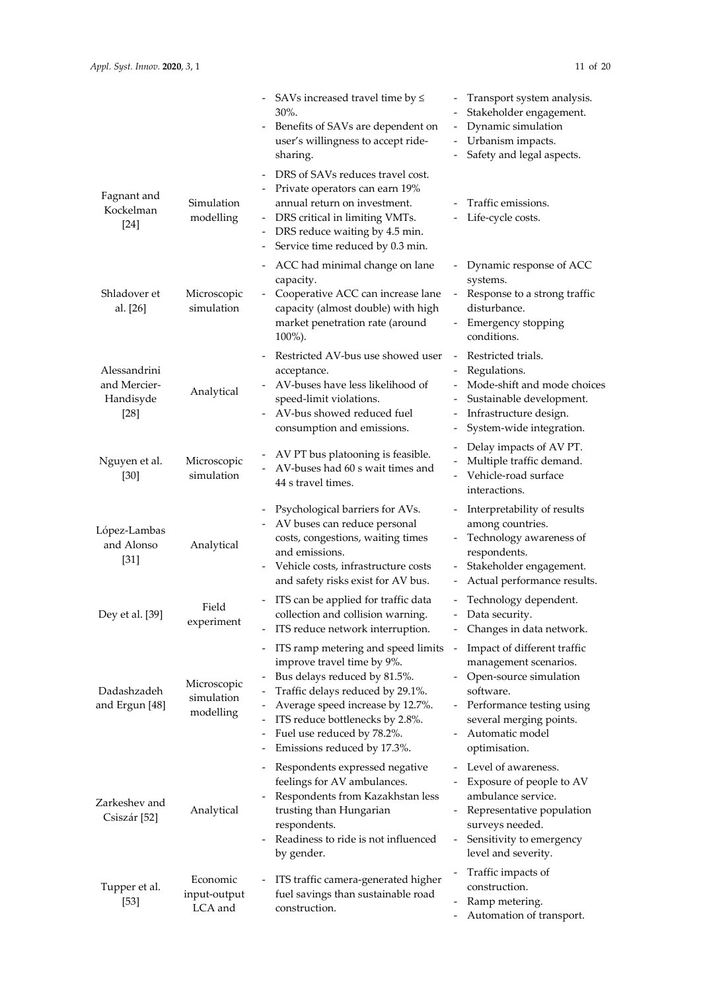- Urbanism impacts.
- Safety and legal aspects.

|                                                     |                                        | sharing.                                                                                                                                                                                                                                                                                             | Safety and legal aspects.                                                                                                                                                                                           |
|-----------------------------------------------------|----------------------------------------|------------------------------------------------------------------------------------------------------------------------------------------------------------------------------------------------------------------------------------------------------------------------------------------------------|---------------------------------------------------------------------------------------------------------------------------------------------------------------------------------------------------------------------|
| Fagnant and<br>Kockelman<br>$[24]$                  | Simulation<br>modelling                | DRS of SAVs reduces travel cost.<br>Private operators can earn 19%<br>annual return on investment.<br>DRS critical in limiting VMTs.<br>DRS reduce waiting by 4.5 min.<br>Service time reduced by 0.3 min.                                                                                           | Traffic emissions.<br>Life-cycle costs.                                                                                                                                                                             |
| Shladover et<br>al. [26]                            | Microscopic<br>simulation              | ACC had minimal change on lane<br>capacity.<br>Cooperative ACC can increase lane<br>$\sim$<br>capacity (almost double) with high<br>market penetration rate (around<br>100%).                                                                                                                        | Dynamic response of ACC<br>systems.<br>Response to a strong traffic<br>$\sim$<br>disturbance.<br>Emergency stopping<br>conditions.                                                                                  |
| Alessandrini<br>and Mercier-<br>Handisyde<br>$[28]$ | Analytical                             | Restricted AV-bus use showed user<br>acceptance.<br>AV-buses have less likelihood of<br>speed-limit violations.<br>AV-bus showed reduced fuel<br>consumption and emissions.                                                                                                                          | Restricted trials.<br>Regulations.<br>Mode-shift and mode choices<br>Sustainable development.<br>Infrastructure design.<br>System-wide integration.                                                                 |
| Nguyen et al.<br>[30]                               | Microscopic<br>simulation              | AV PT bus platooning is feasible.<br>AV-buses had 60 s wait times and<br>44 s travel times.                                                                                                                                                                                                          | Delay impacts of AV PT.<br>Multiple traffic demand.<br>Vehicle-road surface<br>interactions.                                                                                                                        |
| López-Lambas<br>and Alonso<br>$[31]$                | Analytical                             | Psychological barriers for AVs.<br>AV buses can reduce personal<br>costs, congestions, waiting times<br>and emissions.<br>Vehicle costs, infrastructure costs<br>$\overline{\phantom{0}}$<br>and safety risks exist for AV bus.                                                                      | Interpretability of results<br>among countries.<br>Technology awareness of<br>respondents.<br>Stakeholder engagement.<br>Actual performance results.                                                                |
| Dey et al. [39]                                     | Field<br>experiment                    | - ITS can be applied for traffic data<br>collection and collision warning.<br>- ITS reduce network interruption.                                                                                                                                                                                     | Technology dependent.<br>$\sim$<br>Data security.<br>$\sim$<br>Changes in data network.                                                                                                                             |
| Dadashzadeh<br>and Ergun [48]                       | Microscopic<br>simulation<br>modelling | ITS ramp metering and speed limits<br>$\overline{\phantom{0}}$<br>improve travel time by 9%.<br>Bus delays reduced by 81.5%.<br>Traffic delays reduced by 29.1%.<br>Average speed increase by 12.7%.<br>ITS reduce bottlenecks by 2.8%.<br>Fuel use reduced by 78.2%.<br>Emissions reduced by 17.3%. | Impact of different traffic<br>$\overline{\phantom{a}}$<br>management scenarios.<br>Open-source simulation<br>software.<br>Performance testing using<br>several merging points.<br>Automatic model<br>optimisation. |
| Zarkeshev and<br>Csiszár [52]                       | Analytical                             | Respondents expressed negative<br>feelings for AV ambulances.<br>Respondents from Kazakhstan less<br>trusting than Hungarian<br>respondents.<br>Readiness to ride is not influenced<br>by gender.                                                                                                    | Level of awareness.<br>Exposure of people to AV<br>ambulance service.<br>Representative population<br>surveys needed.<br>Sensitivity to emergency<br>$\overline{\phantom{a}}$<br>level and severity.                |
| Tupper et al.<br>$[53]$                             | Economic<br>input-output<br>LCA and    | ITS traffic camera-generated higher<br>$\qquad \qquad -$<br>fuel savings than sustainable road<br>construction.                                                                                                                                                                                      | Traffic impacts of<br>construction.<br>Ramp metering.<br>Automation of transport.<br>$\overline{\phantom{a}}$                                                                                                       |

- SAVs increased travel time by ≤

- Benefits of SAVs are dependent on user's willingness to accept ride-

30%.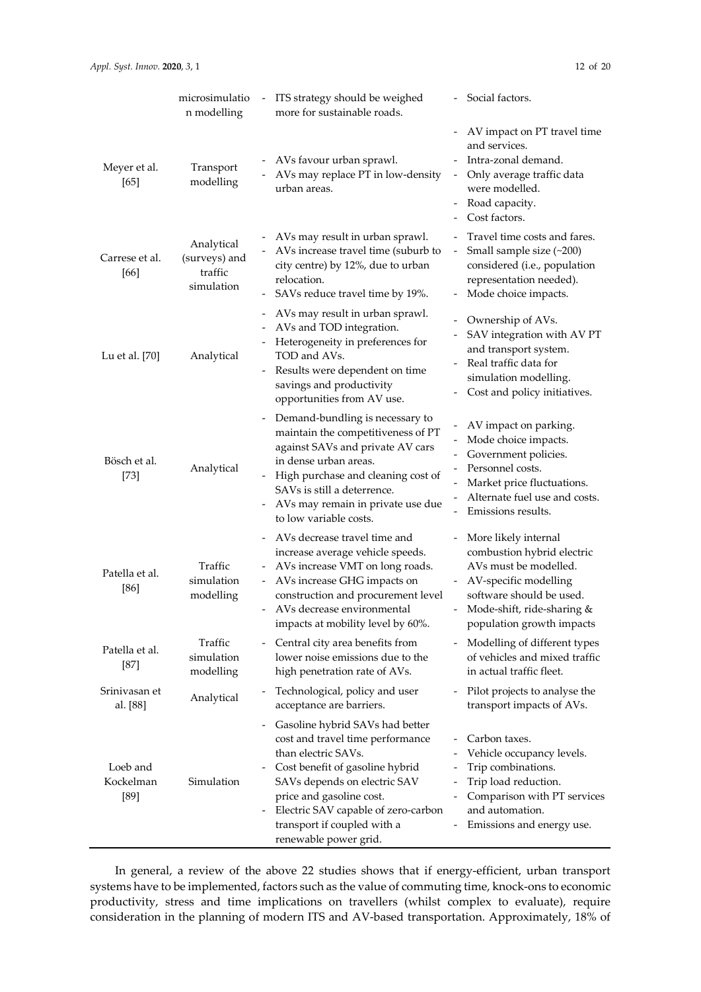|                               | microsimulatio<br>n modelling                        |                          | ITS strategy should be weighed<br>more for sustainable roads.                                                                                                                                                                                                                            |                          | Social factors.                                                                                                                                                                             |
|-------------------------------|------------------------------------------------------|--------------------------|------------------------------------------------------------------------------------------------------------------------------------------------------------------------------------------------------------------------------------------------------------------------------------------|--------------------------|---------------------------------------------------------------------------------------------------------------------------------------------------------------------------------------------|
| Meyer et al.<br>[65]          | Transport<br>modelling                               |                          | AVs favour urban sprawl.<br>AVs may replace PT in low-density<br>urban areas.                                                                                                                                                                                                            | $\blacksquare$           | AV impact on PT travel time<br>and services.<br>Intra-zonal demand.<br>Only average traffic data<br>were modelled.<br>Road capacity.<br>Cost factors.                                       |
| Carrese et al.<br>[66]        | Analytical<br>(surveys) and<br>traffic<br>simulation |                          | AVs may result in urban sprawl.<br>AVs increase travel time (suburb to<br>city centre) by 12%, due to urban<br>relocation.<br>SAVs reduce travel time by 19%.                                                                                                                            | $\overline{\phantom{a}}$ | Travel time costs and fares.<br>Small sample size (~200)<br>considered (i.e., population<br>representation needed).<br>Mode choice impacts.                                                 |
| Lu et al. [70]                | Analytical                                           |                          | AVs may result in urban sprawl.<br>AVs and TOD integration.<br>Heterogeneity in preferences for<br>TOD and AVs.<br>Results were dependent on time<br>savings and productivity<br>opportunities from AV use.                                                                              |                          | Ownership of AVs.<br>SAV integration with AV PT<br>and transport system.<br>Real traffic data for<br>simulation modelling.<br>Cost and policy initiatives.                                  |
| Bösch et al.<br>$[73]$        | Analytical                                           | $\overline{\phantom{a}}$ | Demand-bundling is necessary to<br>maintain the competitiveness of PT<br>against SAVs and private AV cars<br>in dense urban areas.<br>High purchase and cleaning cost of<br>SAVs is still a deterrence.<br>AVs may remain in private use due<br>to low variable costs.                   |                          | AV impact on parking.<br>Mode choice impacts.<br>Government policies.<br>Personnel costs.<br>Market price fluctuations.<br>Alternate fuel use and costs.<br>Emissions results.              |
| Patella et al.<br>[86]        | Traffic<br>simulation<br>modelling                   |                          | AVs decrease travel time and<br>increase average vehicle speeds.<br>AVs increase VMT on long roads.<br>AVs increase GHG impacts on<br>construction and procurement level<br>AVs decrease environmental<br>impacts at mobility level by 60%.                                              | $\overline{\phantom{0}}$ | More likely internal<br>combustion hybrid electric<br>AVs must be modelled.<br>AV-specific modelling<br>software should be used.<br>Mode-shift, ride-sharing &<br>population growth impacts |
| Patella et al.<br>$[87]$      | Traffic<br>simulation<br>modelling                   |                          | Central city area benefits from<br>lower noise emissions due to the<br>high penetration rate of AVs.                                                                                                                                                                                     |                          | Modelling of different types<br>of vehicles and mixed traffic<br>in actual traffic fleet.                                                                                                   |
| Srinivasan et<br>al. [88]     | Analytical                                           |                          | Technological, policy and user<br>acceptance are barriers.                                                                                                                                                                                                                               |                          | Pilot projects to analyse the<br>transport impacts of AVs.                                                                                                                                  |
| Loeb and<br>Kockelman<br>[89] | Simulation                                           |                          | Gasoline hybrid SAVs had better<br>cost and travel time performance<br>than electric SAVs.<br>Cost benefit of gasoline hybrid<br>SAVs depends on electric SAV<br>price and gasoline cost.<br>Electric SAV capable of zero-carbon<br>transport if coupled with a<br>renewable power grid. | $\overline{\phantom{0}}$ | Carbon taxes.<br>Vehicle occupancy levels.<br>Trip combinations.<br>Trip load reduction.<br>Comparison with PT services<br>and automation.<br>Emissions and energy use.                     |

In general, a review of the above 22 studies shows that if energy-efficient, urban transport systems have to be implemented, factors such as the value of commuting time, knock-ons to economic productivity, stress and time implications on travellers (whilst complex to evaluate), require consideration in the planning of modern ITS and AV-based transportation. Approximately, 18% of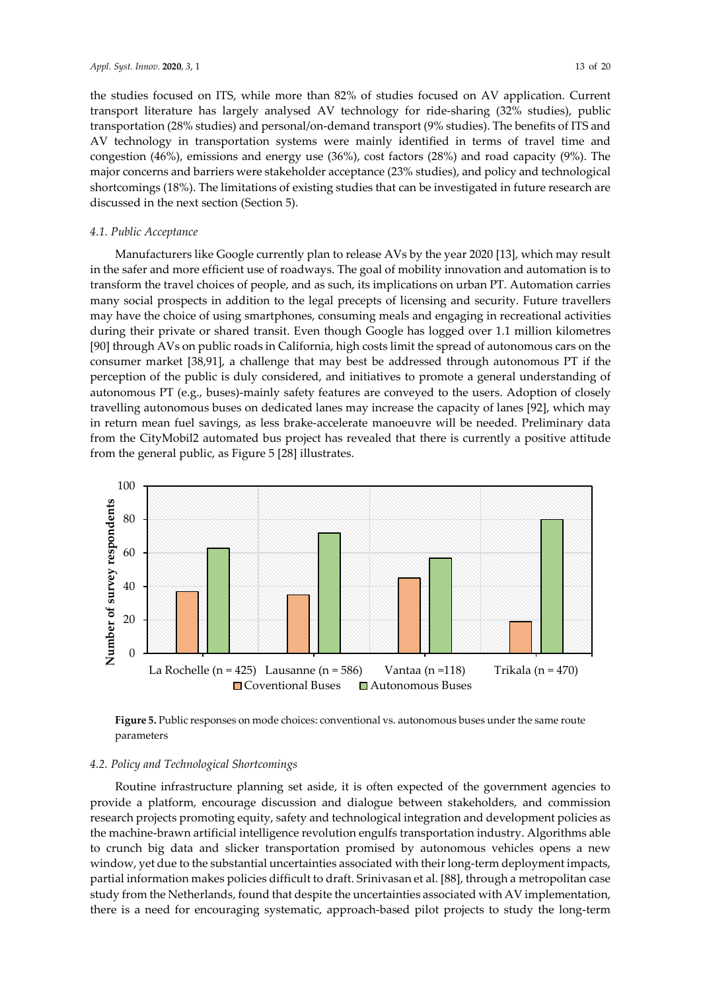the studies focused on ITS, while more than 82% of studies focused on AV application. Current transport literature has largely analysed AV technology for ride-sharing (32% studies), public transportation (28% studies) and personal/on-demand transport (9% studies). The benefits of ITS and AV technology in transportation systems were mainly identified in terms of travel time and congestion (46%), emissions and energy use (36%), cost factors (28%) and road capacity (9%). The major concerns and barriers were stakeholder acceptance (23% studies), and policy and technological shortcomings (18%). The limitations of existing studies that can be investigated in future research are discussed in the next section (Section 5).

#### *4.1. Public Acceptance*

Manufacturers like Google currently plan to release AVs by the year 2020 [13], which may result in the safer and more efficient use of roadways. The goal of mobility innovation and automation is to transform the travel choices of people, and as such, its implications on urban PT. Automation carries many social prospects in addition to the legal precepts of licensing and security. Future travellers may have the choice of using smartphones, consuming meals and engaging in recreational activities during their private or shared transit. Even though Google has logged over 1.1 million kilometres [90] through AVs on public roads in California, high costs limit the spread of autonomous cars on the consumer market [38,91], a challenge that may best be addressed through autonomous PT if the perception of the public is duly considered, and initiatives to promote a general understanding of autonomous PT (e.g., buses)-mainly safety features are conveyed to the users. Adoption of closely travelling autonomous buses on dedicated lanes may increase the capacity of lanes [92], which may in return mean fuel savings, as less brake-accelerate manoeuvre will be needed. Preliminary data from the CityMobil2 automated bus project has revealed that there is currently a positive attitude from the general public, as Figure 5 [28] illustrates.



**Figure 5.** Public responses on mode choices: conventional vs. autonomous buses under the same route parameters

#### *4.2. Policy and Technological Shortcomings*

Routine infrastructure planning set aside, it is often expected of the government agencies to provide a platform, encourage discussion and dialogue between stakeholders, and commission research projects promoting equity, safety and technological integration and development policies as the machine-brawn artificial intelligence revolution engulfs transportation industry. Algorithms able to crunch big data and slicker transportation promised by autonomous vehicles opens a new window, yet due to the substantial uncertainties associated with their long-term deployment impacts, partial information makes policies difficult to draft. Srinivasan et al. [88], through a metropolitan case study from the Netherlands, found that despite the uncertainties associated with AV implementation, there is a need for encouraging systematic, approach-based pilot projects to study the long-term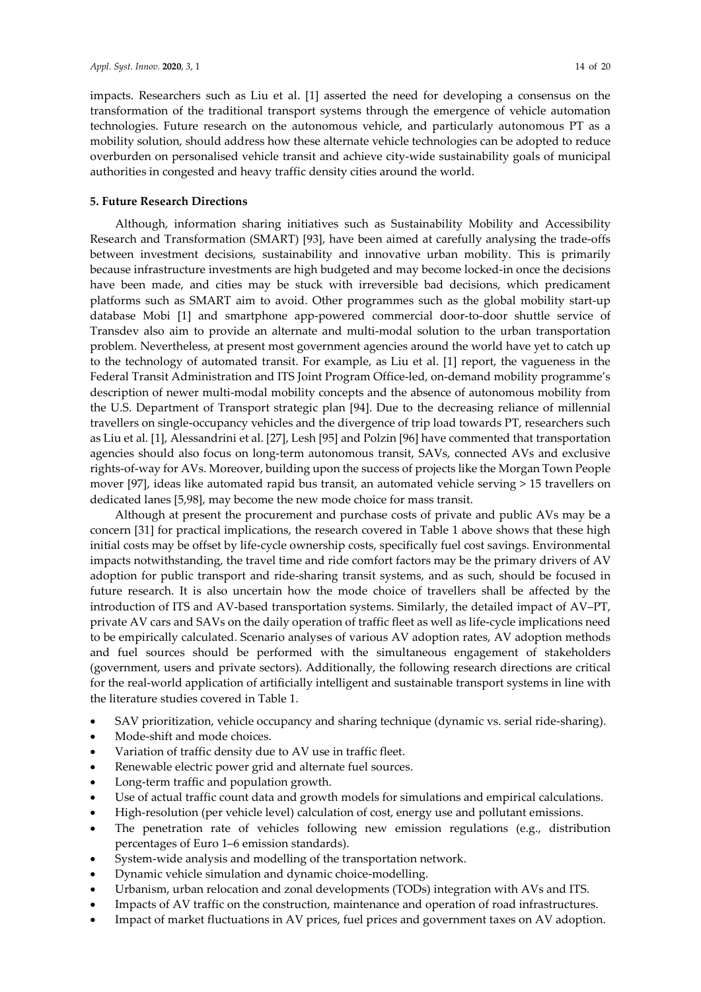impacts. Researchers such as Liu et al. [1] asserted the need for developing a consensus on the transformation of the traditional transport systems through the emergence of vehicle automation technologies. Future research on the autonomous vehicle, and particularly autonomous PT as a mobility solution, should address how these alternate vehicle technologies can be adopted to reduce overburden on personalised vehicle transit and achieve city-wide sustainability goals of municipal authorities in congested and heavy traffic density cities around the world.

#### **5. Future Research Directions**

Although, information sharing initiatives such as Sustainability Mobility and Accessibility Research and Transformation (SMART) [93], have been aimed at carefully analysing the trade-offs between investment decisions, sustainability and innovative urban mobility. This is primarily because infrastructure investments are high budgeted and may become locked-in once the decisions have been made, and cities may be stuck with irreversible bad decisions, which predicament platforms such as SMART aim to avoid. Other programmes such as the global mobility start-up database Mobi [1] and smartphone app-powered commercial door-to-door shuttle service of Transdev also aim to provide an alternate and multi-modal solution to the urban transportation problem. Nevertheless, at present most government agencies around the world have yet to catch up to the technology of automated transit. For example, as Liu et al. [1] report, the vagueness in the Federal Transit Administration and ITS Joint Program Office-led, on-demand mobility programme's description of newer multi-modal mobility concepts and the absence of autonomous mobility from the U.S. Department of Transport strategic plan [94]. Due to the decreasing reliance of millennial travellers on single-occupancy vehicles and the divergence of trip load towards PT, researchers such as Liu et al. [1], Alessandrini et al. [27], Lesh [95] and Polzin [96] have commented that transportation agencies should also focus on long-term autonomous transit, SAVs, connected AVs and exclusive rights-of-way for AVs. Moreover, building upon the success of projects like the Morgan Town People mover [97], ideas like automated rapid bus transit, an automated vehicle serving > 15 travellers on dedicated lanes [5,98], may become the new mode choice for mass transit.

Although at present the procurement and purchase costs of private and public AVs may be a concern [31] for practical implications, the research covered in Table 1 above shows that these high initial costs may be offset by life-cycle ownership costs, specifically fuel cost savings. Environmental impacts notwithstanding, the travel time and ride comfort factors may be the primary drivers of AV adoption for public transport and ride-sharing transit systems, and as such, should be focused in future research. It is also uncertain how the mode choice of travellers shall be affected by the introduction of ITS and AV-based transportation systems. Similarly, the detailed impact of AV–PT, private AV cars and SAVs on the daily operation of traffic fleet as well as life-cycle implications need to be empirically calculated. Scenario analyses of various AV adoption rates, AV adoption methods and fuel sources should be performed with the simultaneous engagement of stakeholders (government, users and private sectors). Additionally, the following research directions are critical for the real-world application of artificially intelligent and sustainable transport systems in line with the literature studies covered in Table 1.

- SAV prioritization, vehicle occupancy and sharing technique (dynamic vs. serial ride-sharing).
- Mode-shift and mode choices.
- Variation of traffic density due to AV use in traffic fleet.
- Renewable electric power grid and alternate fuel sources.
- Long-term traffic and population growth.
- Use of actual traffic count data and growth models for simulations and empirical calculations.
- High-resolution (per vehicle level) calculation of cost, energy use and pollutant emissions.
- The penetration rate of vehicles following new emission regulations (e.g., distribution percentages of Euro 1–6 emission standards).
- System-wide analysis and modelling of the transportation network.
- Dynamic vehicle simulation and dynamic choice-modelling.
- Urbanism, urban relocation and zonal developments (TODs) integration with AVs and ITS.
- Impacts of AV traffic on the construction, maintenance and operation of road infrastructures.
- Impact of market fluctuations in AV prices, fuel prices and government taxes on AV adoption.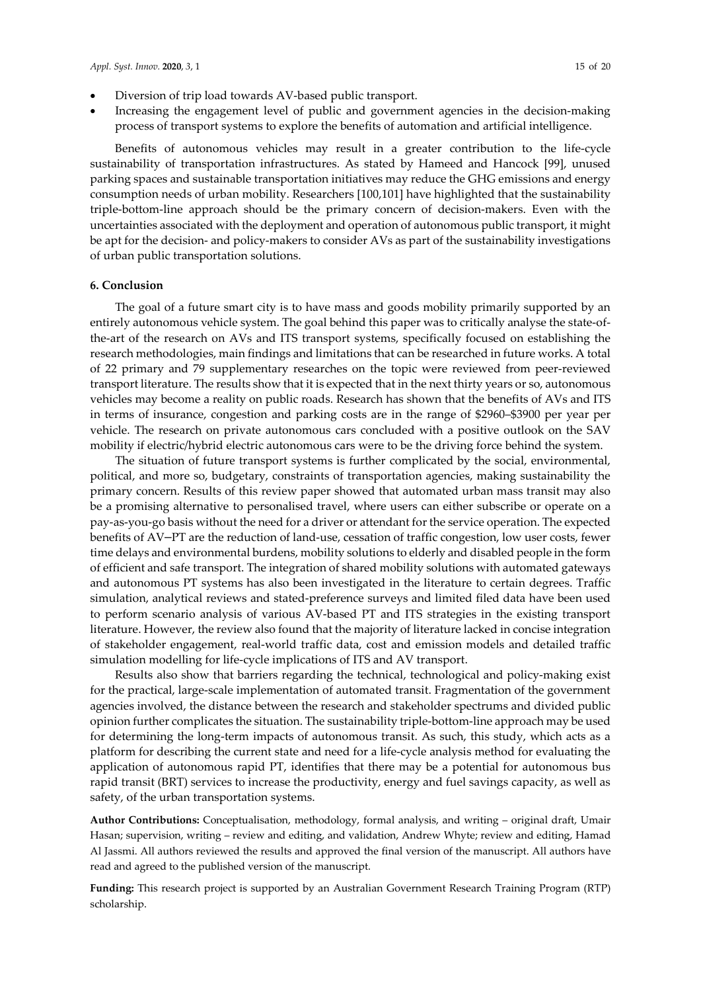- Diversion of trip load towards AV-based public transport.
- Increasing the engagement level of public and government agencies in the decision-making process of transport systems to explore the benefits of automation and artificial intelligence.

Benefits of autonomous vehicles may result in a greater contribution to the life-cycle sustainability of transportation infrastructures. As stated by Hameed and Hancock [99], unused parking spaces and sustainable transportation initiatives may reduce the GHG emissions and energy consumption needs of urban mobility. Researchers [100,101] have highlighted that the sustainability triple-bottom-line approach should be the primary concern of decision-makers. Even with the uncertainties associated with the deployment and operation of autonomous public transport, it might be apt for the decision- and policy-makers to consider AVs as part of the sustainability investigations of urban public transportation solutions.

#### **6. Conclusion**

The goal of a future smart city is to have mass and goods mobility primarily supported by an entirely autonomous vehicle system. The goal behind this paper was to critically analyse the state-ofthe-art of the research on AVs and ITS transport systems, specifically focused on establishing the research methodologies, main findings and limitations that can be researched in future works. A total of 22 primary and 79 supplementary researches on the topic were reviewed from peer-reviewed transport literature. The results show that it is expected that in the next thirty years or so, autonomous vehicles may become a reality on public roads. Research has shown that the benefits of AVs and ITS in terms of insurance, congestion and parking costs are in the range of \$2960–\$3900 per year per vehicle. The research on private autonomous cars concluded with a positive outlook on the SAV mobility if electric/hybrid electric autonomous cars were to be the driving force behind the system.

The situation of future transport systems is further complicated by the social, environmental, political, and more so, budgetary, constraints of transportation agencies, making sustainability the primary concern. Results of this review paper showed that automated urban mass transit may also be a promising alternative to personalised travel, where users can either subscribe or operate on a pay-as-you-go basis without the need for a driver or attendant for the service operation. The expected benefits of AV–PT are the reduction of land-use, cessation of traffic congestion, low user costs, fewer time delays and environmental burdens, mobility solutions to elderly and disabled people in the form of efficient and safe transport. The integration of shared mobility solutions with automated gateways and autonomous PT systems has also been investigated in the literature to certain degrees. Traffic simulation, analytical reviews and stated-preference surveys and limited filed data have been used to perform scenario analysis of various AV-based PT and ITS strategies in the existing transport literature. However, the review also found that the majority of literature lacked in concise integration of stakeholder engagement, real-world traffic data, cost and emission models and detailed traffic simulation modelling for life-cycle implications of ITS and AV transport.

Results also show that barriers regarding the technical, technological and policy-making exist for the practical, large-scale implementation of automated transit. Fragmentation of the government agencies involved, the distance between the research and stakeholder spectrums and divided public opinion further complicates the situation. The sustainability triple-bottom-line approach may be used for determining the long-term impacts of autonomous transit. As such, this study, which acts as a platform for describing the current state and need for a life-cycle analysis method for evaluating the application of autonomous rapid PT, identifies that there may be a potential for autonomous bus rapid transit (BRT) services to increase the productivity, energy and fuel savings capacity, as well as safety, of the urban transportation systems.

**Author Contributions:** Conceptualisation, methodology, formal analysis, and writing – original draft, Umair Hasan; supervision, writing – review and editing, and validation, Andrew Whyte; review and editing, Hamad Al Jassmi. All authors reviewed the results and approved the final version of the manuscript. All authors have read and agreed to the published version of the manuscript.

**Funding:** This research project is supported by an Australian Government Research Training Program (RTP) scholarship.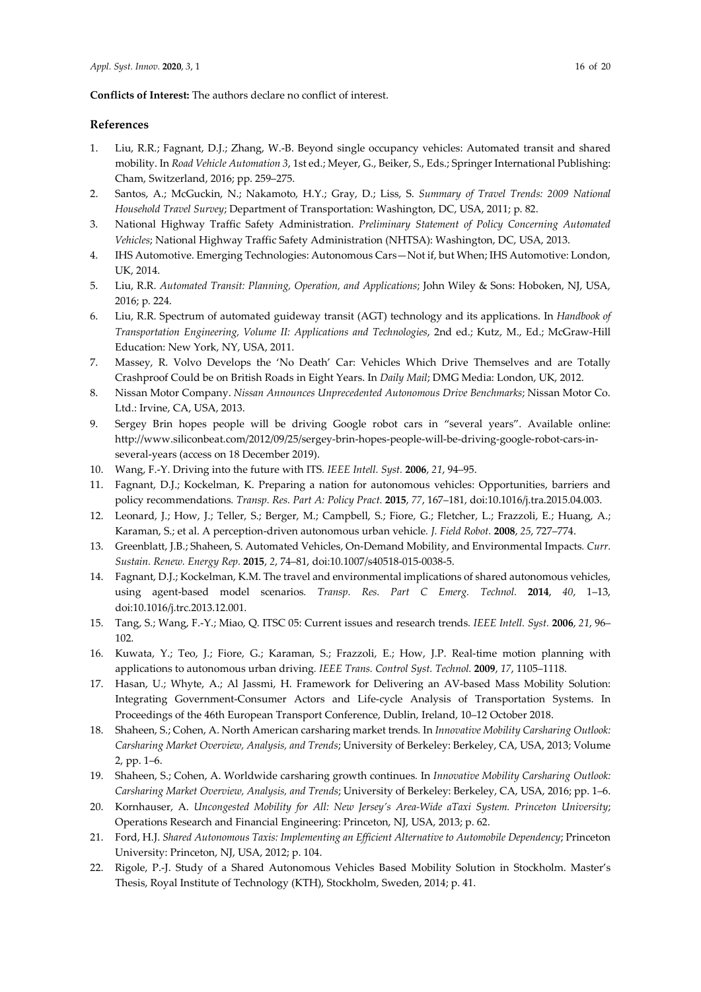**Conflicts of Interest:** The authors declare no conflict of interest.

### **References**

- 1. Liu, R.R.; Fagnant, D.J.; Zhang, W.-B. Beyond single occupancy vehicles: Automated transit and shared mobility. In *Road Vehicle Automation 3*, 1st ed.; Meyer, G., Beiker, S., Eds.; Springer International Publishing: Cham, Switzerland, 2016; pp. 259–275.
- 2. Santos, A.; McGuckin, N.; Nakamoto, H.Y.; Gray, D.; Liss, S. *Summary of Travel Trends: 2009 National Household Travel Survey*; Department of Transportation: Washington, DC, USA, 2011; p. 82.
- 3. National Highway Traffic Safety Administration. *Preliminary Statement of Policy Concerning Automated Vehicles*; National Highway Traffic Safety Administration (NHTSA): Washington, DC, USA, 2013.
- 4. IHS Automotive. Emerging Technologies: Autonomous Cars—Not if, but When; IHS Automotive: London, UK, 2014.
- 5. Liu, R.R. *Automated Transit: Planning, Operation, and Applications*; John Wiley & Sons: Hoboken, NJ, USA, 2016; p. 224.
- 6. Liu, R.R. Spectrum of automated guideway transit (AGT) technology and its applications. In *Handbook of Transportation Engineering, Volume II: Applications and Technologies*, 2nd ed.; Kutz, M., Ed.; McGraw-Hill Education: New York, NY, USA, 2011.
- 7. Massey, R. Volvo Develops the 'No Death' Car: Vehicles Which Drive Themselves and are Totally Crashproof Could be on British Roads in Eight Years. In *Daily Mail*; DMG Media: London, UK, 2012.
- 8. Nissan Motor Company. *Nissan Announces Unprecedented Autonomous Drive Benchmarks*; Nissan Motor Co. Ltd.: Irvine, CA, USA, 2013.
- 9. Sergey Brin hopes people will be driving Google robot cars in "several years". Available online: http://www.siliconbeat.com/2012/09/25/sergey-brin-hopes-people-will-be-driving-google-robot-cars-inseveral-years (access on 18 December 2019).
- 10. Wang, F.-Y. Driving into the future with ITS*. IEEE Intell. Syst.* **2006**, *21*, 94–95.
- 11. Fagnant, D.J.; Kockelman, K. Preparing a nation for autonomous vehicles: Opportunities, barriers and policy recommendations*. Transp. Res. Part A: Policy Pract.* **2015**, *77*, 167–181, doi:10.1016/j.tra.2015.04.003.
- 12. Leonard, J.; How, J.; Teller, S.; Berger, M.; Campbell, S.; Fiore, G.; Fletcher, L.; Frazzoli, E.; Huang, A.; Karaman, S.; et al. A perception-driven autonomous urban vehicle*. J. Field Robot.* **2008**, *25*, 727–774.
- 13. Greenblatt, J.B.; Shaheen, S. Automated Vehicles, On-Demand Mobility, and Environmental Impacts*. Curr. Sustain. Renew. Energy Rep.* **2015**, *2*, 74–81, doi:10.1007/s40518-015-0038-5.
- 14. Fagnant, D.J.; Kockelman, K.M. The travel and environmental implications of shared autonomous vehicles, using agent-based model scenarios*. Transp. Res. Part C Emerg. Technol.* **2014**, *40*, 1–13, doi:10.1016/j.trc.2013.12.001.
- 15. Tang, S.; Wang, F.-Y.; Miao, Q. ITSC 05: Current issues and research trends*. IEEE Intell. Syst.* **2006**, *21*, 96– 102.
- 16. Kuwata, Y.; Teo, J.; Fiore, G.; Karaman, S.; Frazzoli, E.; How, J.P. Real-time motion planning with applications to autonomous urban driving*. IEEE Trans. Control Syst. Technol.* **2009**, *17*, 1105–1118.
- 17. Hasan, U.; Whyte, A.; Al Jassmi, H. Framework for Delivering an AV-based Mass Mobility Solution: Integrating Government-Consumer Actors and Life-cycle Analysis of Transportation Systems. In Proceedings of the 46th European Transport Conference, Dublin, Ireland, 10–12 October 2018.
- 18. Shaheen, S.; Cohen, A. North American carsharing market trends*.* In *Innovative Mobility Carsharing Outlook: Carsharing Market Overview, Analysis, and Trends*; University of Berkeley: Berkeley, CA, USA, 2013; Volume 2, pp. 1–6.
- 19. Shaheen, S.; Cohen, A. Worldwide carsharing growth continues*.* In *Innovative Mobility Carsharing Outlook: Carsharing Market Overview, Analysis, and Trends*; University of Berkeley: Berkeley, CA, USA, 2016; pp. 1–6.
- 20. Kornhauser, A. *Uncongested Mobility for All: New Jersey's Area-Wide aTaxi System. Princeton University*; Operations Research and Financial Engineering: Princeton, NJ, USA, 2013; p. 62.
- 21. Ford, H.J. *Shared Autonomous Taxis: Implementing an Efficient Alternative to Automobile Dependency*; Princeton University: Princeton, NJ, USA, 2012; p. 104.
- 22. Rigole, P.-J. Study of a Shared Autonomous Vehicles Based Mobility Solution in Stockholm. Master's Thesis, Royal Institute of Technology (KTH), Stockholm, Sweden, 2014; p. 41.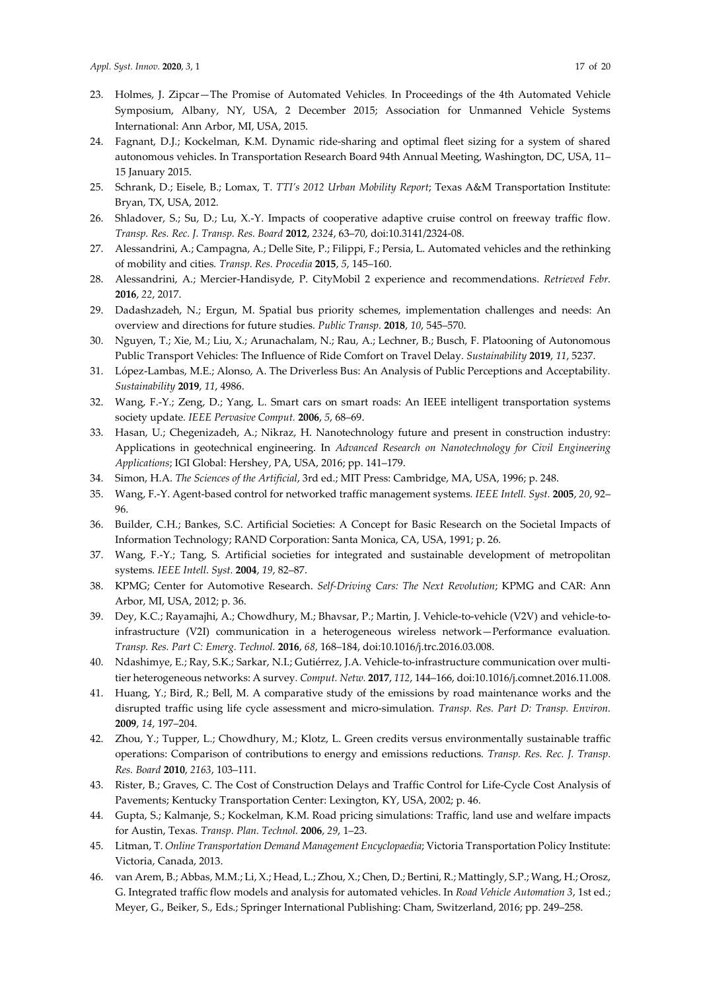- 23. Holmes, J. Zipcar—The Promise of Automated Vehicles. In Proceedings of the 4th Automated Vehicle Symposium, Albany, NY, USA, 2 December 2015; Association for Unmanned Vehicle Systems International: Ann Arbor, MI, USA, 2015.
- 24. Fagnant, D.J.; Kockelman, K.M. Dynamic ride-sharing and optimal fleet sizing for a system of shared autonomous vehicles. In Transportation Research Board 94th Annual Meeting, Washington, DC, USA, 11– 15 January 2015.
- 25. Schrank, D.; Eisele, B.; Lomax, T. *TTI's 2012 Urban Mobility Report*; Texas A&M Transportation Institute: Bryan, TX, USA, 2012.
- 26. Shladover, S.; Su, D.; Lu, X.-Y. Impacts of cooperative adaptive cruise control on freeway traffic flow*. Transp. Res. Rec. J. Transp. Res. Board* **2012**, *2324*, 63–70, doi:10.3141/2324-08.
- 27. Alessandrini, A.; Campagna, A.; Delle Site, P.; Filippi, F.; Persia, L. Automated vehicles and the rethinking of mobility and cities*. Transp. Res. Procedia* **2015**, *5*, 145–160.
- 28. Alessandrini, A.; Mercier-Handisyde, P. CityMobil 2 experience and recommendations. *Retrieved Febr.*  **2016**, *22*, 2017.
- 29. Dadashzadeh, N.; Ergun, M. Spatial bus priority schemes, implementation challenges and needs: An overview and directions for future studies*. Public Transp.* **2018**, *10*, 545–570.
- 30. Nguyen, T.; Xie, M.; Liu, X.; Arunachalam, N.; Rau, A.; Lechner, B.; Busch, F. Platooning of Autonomous Public Transport Vehicles: The Influence of Ride Comfort on Travel Delay*. Sustainability* **2019**, *11*, 5237.
- 31. López-Lambas, M.E.; Alonso, A. The Driverless Bus: An Analysis of Public Perceptions and Acceptability*. Sustainability* **2019**, *11*, 4986.
- 32. Wang, F.-Y.; Zeng, D.; Yang, L. Smart cars on smart roads: An IEEE intelligent transportation systems society update*. IEEE Pervasive Comput.* **2006**, *5*, 68–69.
- 33. Hasan, U.; Chegenizadeh, A.; Nikraz, H. Nanotechnology future and present in construction industry: Applications in geotechnical engineering. In *Advanced Research on Nanotechnology for Civil Engineering Applications*; IGI Global: Hershey, PA, USA, 2016; pp. 141–179.
- 34. Simon, H.A. *The Sciences of the Artificial*, 3rd ed.; MIT Press: Cambridge, MA, USA, 1996; p. 248.
- 35. Wang, F.-Y. Agent-based control for networked traffic management systems*. IEEE Intell. Syst.* **2005**, *20*, 92– 96.
- 36. Builder, C.H.; Bankes, S.C. Artificial Societies: A Concept for Basic Research on the Societal Impacts of Information Technology; RAND Corporation: Santa Monica, CA, USA, 1991; p. 26.
- 37. Wang, F.-Y.; Tang, S. Artificial societies for integrated and sustainable development of metropolitan systems*. IEEE Intell. Syst.* **2004**, *19*, 82–87.
- 38. KPMG; Center for Automotive Research. *Self-Driving Cars: The Next Revolution*; KPMG and CAR: Ann Arbor, MI, USA, 2012; p. 36.
- 39. Dey, K.C.; Rayamajhi, A.; Chowdhury, M.; Bhavsar, P.; Martin, J. Vehicle-to-vehicle (V2V) and vehicle-toinfrastructure (V2I) communication in a heterogeneous wireless network—Performance evaluation*. Transp. Res. Part C: Emerg. Technol.* **2016**, *68*, 168–184, doi:10.1016/j.trc.2016.03.008.
- 40. Ndashimye, E.; Ray, S.K.; Sarkar, N.I.; Gutiérrez, J.A. Vehicle-to-infrastructure communication over multitier heterogeneous networks: A survey*. Comput. Netw.* **2017**, *112*, 144–166, doi:10.1016/j.comnet.2016.11.008.
- 41. Huang, Y.; Bird, R.; Bell, M. A comparative study of the emissions by road maintenance works and the disrupted traffic using life cycle assessment and micro-simulation*. Transp. Res. Part D: Transp. Environ.*  **2009**, *14*, 197–204.
- 42. Zhou, Y.; Tupper, L.; Chowdhury, M.; Klotz, L. Green credits versus environmentally sustainable traffic operations: Comparison of contributions to energy and emissions reductions*. Transp. Res. Rec. J. Transp. Res. Board* **2010**, *2163*, 103–111.
- 43. Rister, B.; Graves, C. The Cost of Construction Delays and Traffic Control for Life-Cycle Cost Analysis of Pavements; Kentucky Transportation Center: Lexington, KY, USA, 2002; p. 46.
- 44. Gupta, S.; Kalmanje, S.; Kockelman, K.M. Road pricing simulations: Traffic, land use and welfare impacts for Austin, Texas*. Transp. Plan. Technol.* **2006**, *29*, 1–23.
- 45. Litman, T. *Online Transportation Demand Management Encyclopaedia*; Victoria Transportation Policy Institute: Victoria, Canada, 2013.
- 46. van Arem, B.; Abbas, M.M.; Li, X.; Head, L.; Zhou, X.; Chen, D.; Bertini, R.; Mattingly, S.P.; Wang, H.; Orosz, G. Integrated traffic flow models and analysis for automated vehicles. In *Road Vehicle Automation 3*, 1st ed.; Meyer, G., Beiker, S., Eds.; Springer International Publishing: Cham, Switzerland, 2016; pp. 249–258.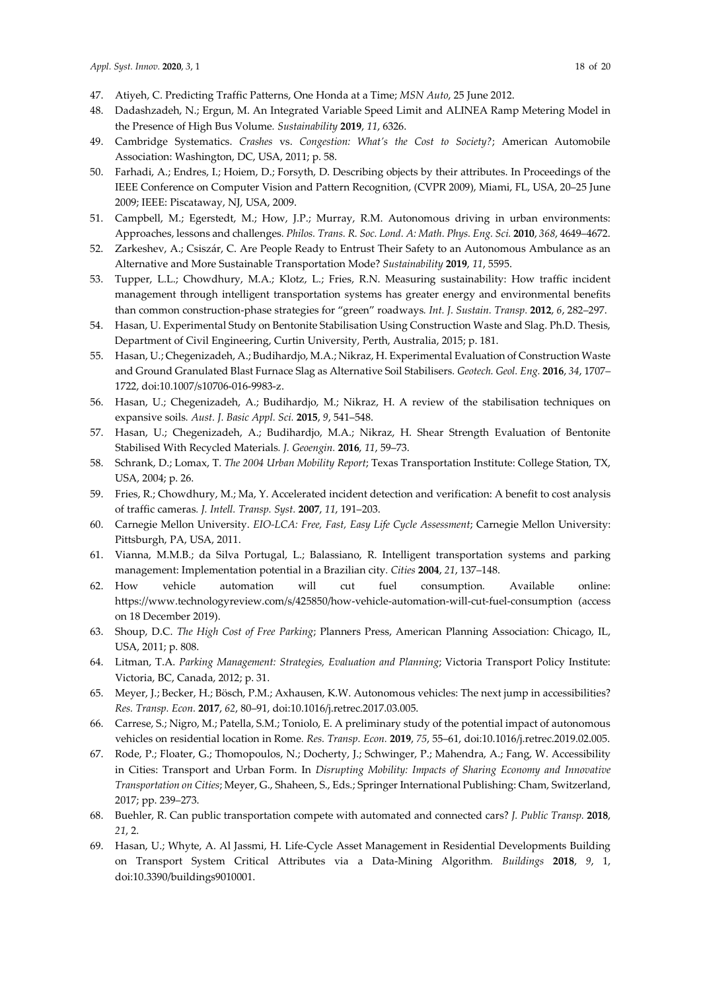- 47. Atiyeh, C. Predicting Traffic Patterns, One Honda at a Time; *MSN Auto*, 25 June 2012.
- 48. Dadashzadeh, N.; Ergun, M. An Integrated Variable Speed Limit and ALINEA Ramp Metering Model in the Presence of High Bus Volume*. Sustainability* **2019**, *11*, 6326.
- 49. Cambridge Systematics. *Crashes* vs. *Congestion: What's the Cost to Society?*; American Automobile Association: Washington, DC, USA, 2011; p. 58.
- 50. Farhadi, A.; Endres, I.; Hoiem, D.; Forsyth, D. Describing objects by their attributes. In Proceedings of the IEEE Conference on Computer Vision and Pattern Recognition, (CVPR 2009), Miami, FL, USA, 20–25 June 2009; IEEE: Piscataway, NJ, USA, 2009.
- 51. Campbell, M.; Egerstedt, M.; How, J.P.; Murray, R.M. Autonomous driving in urban environments: Approaches, lessons and challenges*. Philos. Trans. R. Soc. Lond. A: Math. Phys. Eng. Sci.* **2010**, *368*, 4649–4672.
- 52. Zarkeshev, A.; Csiszár, C. Are People Ready to Entrust Their Safety to an Autonomous Ambulance as an Alternative and More Sustainable Transportation Mode? *Sustainability* **2019**, *11*, 5595.
- 53. Tupper, L.L.; Chowdhury, M.A.; Klotz, L.; Fries, R.N. Measuring sustainability: How traffic incident management through intelligent transportation systems has greater energy and environmental benefits than common construction-phase strategies for "green" roadways*. Int. J. Sustain. Transp.* **2012**, *6*, 282–297.
- 54. Hasan, U. Experimental Study on Bentonite Stabilisation Using Construction Waste and Slag. Ph.D. Thesis, Department of Civil Engineering, Curtin University, Perth, Australia, 2015; p. 181.
- 55. Hasan, U.; Chegenizadeh, A.; Budihardjo, M.A.; Nikraz, H. Experimental Evaluation of Construction Waste and Ground Granulated Blast Furnace Slag as Alternative Soil Stabilisers*. Geotech. Geol. Eng.* **2016**, *34*, 1707– 1722, doi:10.1007/s10706-016-9983-z.
- 56. Hasan, U.; Chegenizadeh, A.; Budihardjo, M.; Nikraz, H. A review of the stabilisation techniques on expansive soils*. Aust. J. Basic Appl. Sci.* **2015**, *9*, 541–548.
- 57. Hasan, U.; Chegenizadeh, A.; Budihardjo, M.A.; Nikraz, H. Shear Strength Evaluation of Bentonite Stabilised With Recycled Materials*. J. Geoengin.* **2016**, *11*, 59–73.
- 58. Schrank, D.; Lomax, T. *The 2004 Urban Mobility Report*; Texas Transportation Institute: College Station, TX, USA, 2004; p. 26.
- 59. Fries, R.; Chowdhury, M.; Ma, Y. Accelerated incident detection and verification: A benefit to cost analysis of traffic cameras*. J. Intell. Transp. Syst.* **2007**, *11*, 191–203.
- 60. Carnegie Mellon University. *EIO-LCA: Free, Fast, Easy Life Cycle Assessment*; Carnegie Mellon University: Pittsburgh, PA, USA, 2011.
- 61. Vianna, M.M.B.; da Silva Portugal, L.; Balassiano, R. Intelligent transportation systems and parking management: Implementation potential in a Brazilian city*. Cities* **2004**, *21*, 137–148.
- 62. How vehicle automation will cut fuel consumption*.* Available online: https://www.technologyreview.com/s/425850/how-vehicle-automation-will-cut-fuel-consumption (access on 18 December 2019).
- 63. Shoup, D.C. *The High Cost of Free Parking*; Planners Press, American Planning Association: Chicago, IL, USA, 2011; p. 808.
- 64. Litman, T.A. *Parking Management: Strategies, Evaluation and Planning*; Victoria Transport Policy Institute: Victoria, BC, Canada, 2012; p. 31.
- 65. Meyer, J.; Becker, H.; Bösch, P.M.; Axhausen, K.W. Autonomous vehicles: The next jump in accessibilities? *Res. Transp. Econ.* **2017**, *62*, 80–91, doi:10.1016/j.retrec.2017.03.005.
- 66. Carrese, S.; Nigro, M.; Patella, S.M.; Toniolo, E. A preliminary study of the potential impact of autonomous vehicles on residential location in Rome*. Res. Transp. Econ.* **2019**, *75*, 55–61, doi:10.1016/j.retrec.2019.02.005.
- 67. Rode, P.; Floater, G.; Thomopoulos, N.; Docherty, J.; Schwinger, P.; Mahendra, A.; Fang, W. Accessibility in Cities: Transport and Urban Form. In *Disrupting Mobility: Impacts of Sharing Economy and Innovative Transportation on Cities*; Meyer, G., Shaheen, S., Eds.; Springer International Publishing: Cham, Switzerland, 2017; pp. 239–273.
- 68. Buehler, R. Can public transportation compete with automated and connected cars? *J. Public Transp.* **2018**, *21*, 2.
- 69. Hasan, U.; Whyte, A. Al Jassmi, H. Life-Cycle Asset Management in Residential Developments Building on Transport System Critical Attributes via a Data-Mining Algorithm*. Buildings* **2018**, *9*, 1, doi:10.3390/buildings9010001.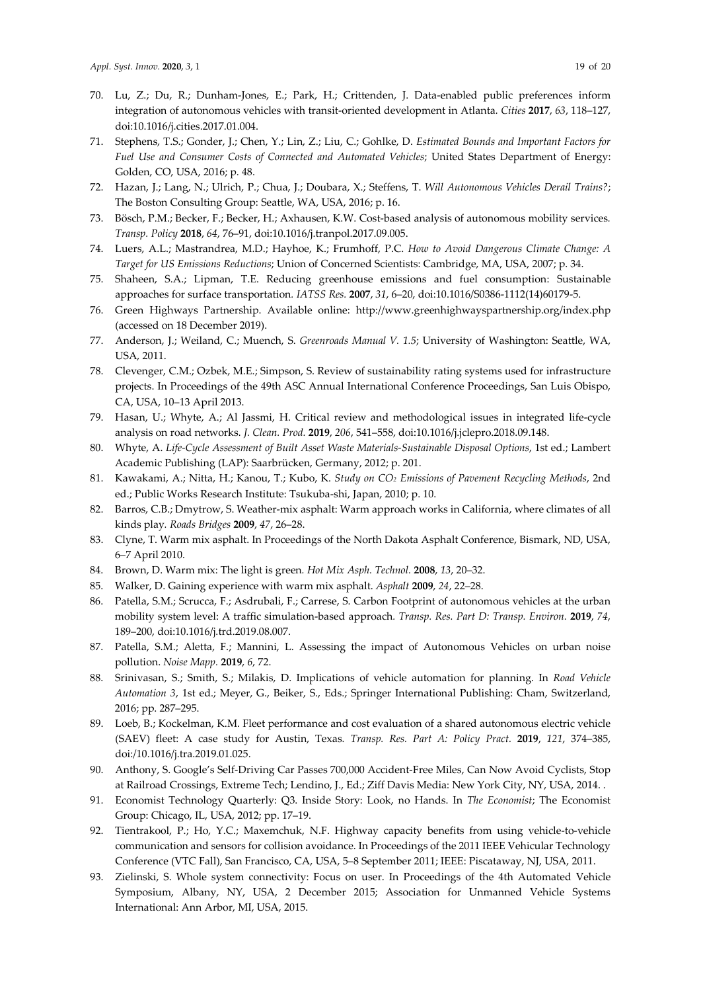- 70. Lu, Z.; Du, R.; Dunham-Jones, E.; Park, H.; Crittenden, J. Data-enabled public preferences inform integration of autonomous vehicles with transit-oriented development in Atlanta*. Cities* **2017**, *63*, 118–127, doi:10.1016/j.cities.2017.01.004.
- 71. Stephens, T.S.; Gonder, J.; Chen, Y.; Lin, Z.; Liu, C.; Gohlke, D. *Estimated Bounds and Important Factors for Fuel Use and Consumer Costs of Connected and Automated Vehicles*; United States Department of Energy: Golden, CO, USA, 2016; p. 48.
- 72. Hazan, J.; Lang, N.; Ulrich, P.; Chua, J.; Doubara, X.; Steffens, T. *Will Autonomous Vehicles Derail Trains?*; The Boston Consulting Group: Seattle, WA, USA, 2016; p. 16.
- 73. Bösch, P.M.; Becker, F.; Becker, H.; Axhausen, K.W. Cost-based analysis of autonomous mobility services*. Transp. Policy* **2018**, *64*, 76–91, doi:10.1016/j.tranpol.2017.09.005.
- 74. Luers, A.L.; Mastrandrea, M.D.; Hayhoe, K.; Frumhoff, P.C. *How to Avoid Dangerous Climate Change: A Target for US Emissions Reductions*; Union of Concerned Scientists: Cambridge, MA, USA, 2007; p. 34.
- 75. Shaheen, S.A.; Lipman, T.E. Reducing greenhouse emissions and fuel consumption: Sustainable approaches for surface transportation*. IATSS Res.* **2007**, *31*, 6–20, doi:10.1016/S0386-1112(14)60179-5.
- 76. Green Highways Partnership. Available online: http://www.greenhighwayspartnership.org/index.php (accessed on 18 December 2019).
- 77. Anderson, J.; Weiland, C.; Muench, S. *Greenroads Manual V. 1.5*; University of Washington: Seattle, WA, USA, 2011.
- 78. Clevenger, C.M.; Ozbek, M.E.; Simpson, S. Review of sustainability rating systems used for infrastructure projects. In Proceedings of the 49th ASC Annual International Conference Proceedings, San Luis Obispo, CA, USA, 10–13 April 2013.
- 79. Hasan, U.; Whyte, A.; Al Jassmi, H. Critical review and methodological issues in integrated life-cycle analysis on road networks*. J. Clean. Prod.* **2019**, *206*, 541–558, doi:10.1016/j.jclepro.2018.09.148.
- 80. Whyte, A. *Life-Cycle Assessment of Built Asset Waste Materials-Sustainable Disposal Options*, 1st ed.; Lambert Academic Publishing (LAP): Saarbrücken, Germany, 2012; p. 201.
- 81. Kawakami, A.; Nitta, H.; Kanou, T.; Kubo, K. *Study on CO2 Emissions of Pavement Recycling Methods*, 2nd ed.; Public Works Research Institute: Tsukuba-shi, Japan, 2010; p. 10.
- 82. Barros, C.B.; Dmytrow, S. Weather-mix asphalt: Warm approach works in California, where climates of all kinds play*. Roads Bridges* **2009**, *47*, 26–28.
- 83. Clyne, T. Warm mix asphalt. In Proceedings of the North Dakota Asphalt Conference, Bismark, ND, USA, 6–7 April 2010.
- 84. Brown, D. Warm mix: The light is green*. Hot Mix Asph. Technol.* **2008**, *13*, 20–32.
- 85. Walker, D. Gaining experience with warm mix asphalt. *Asphalt* **2009**, *24*, 22–28.
- 86. Patella, S.M.; Scrucca, F.; Asdrubali, F.; Carrese, S. Carbon Footprint of autonomous vehicles at the urban mobility system level: A traffic simulation-based approach*. Transp. Res. Part D: Transp. Environ.* **2019**, *74*, 189–200, doi:10.1016/j.trd.2019.08.007.
- 87. Patella, S.M.; Aletta, F.; Mannini, L. Assessing the impact of Autonomous Vehicles on urban noise pollution. *Noise Mapp.* **2019**, *6*, 72.
- 88. Srinivasan, S.; Smith, S.; Milakis, D. Implications of vehicle automation for planning. In *Road Vehicle Automation 3*, 1st ed.; Meyer, G., Beiker, S., Eds.; Springer International Publishing: Cham, Switzerland, 2016; pp. 287–295.
- 89. Loeb, B.; Kockelman, K.M. Fleet performance and cost evaluation of a shared autonomous electric vehicle (SAEV) fleet: A case study for Austin, Texas*. Transp. Res. Part A: Policy Pract.* **2019**, *121*, 374–385, doi:/10.1016/j.tra.2019.01.025.
- 90. Anthony, S. Google's Self-Driving Car Passes 700,000 Accident-Free Miles, Can Now Avoid Cyclists, Stop at Railroad Crossings, Extreme Tech; Lendino, J., Ed.; Ziff Davis Media: New York City, NY, USA, 2014. .
- 91. Economist Technology Quarterly: Q3. Inside Story: Look, no Hands. In *The Economist*; The Economist Group: Chicago, IL, USA, 2012; pp. 17–19.
- 92. Tientrakool, P.; Ho, Y.C.; Maxemchuk, N.F. Highway capacity benefits from using vehicle-to-vehicle communication and sensors for collision avoidance. In Proceedings of the 2011 IEEE Vehicular Technology Conference (VTC Fall), San Francisco, CA, USA, 5–8 September 2011; IEEE: Piscataway, NJ, USA, 2011.
- 93. Zielinski, S. Whole system connectivity: Focus on user. In Proceedings of the 4th Automated Vehicle Symposium, Albany, NY, USA, 2 December 2015; Association for Unmanned Vehicle Systems International: Ann Arbor, MI, USA, 2015.